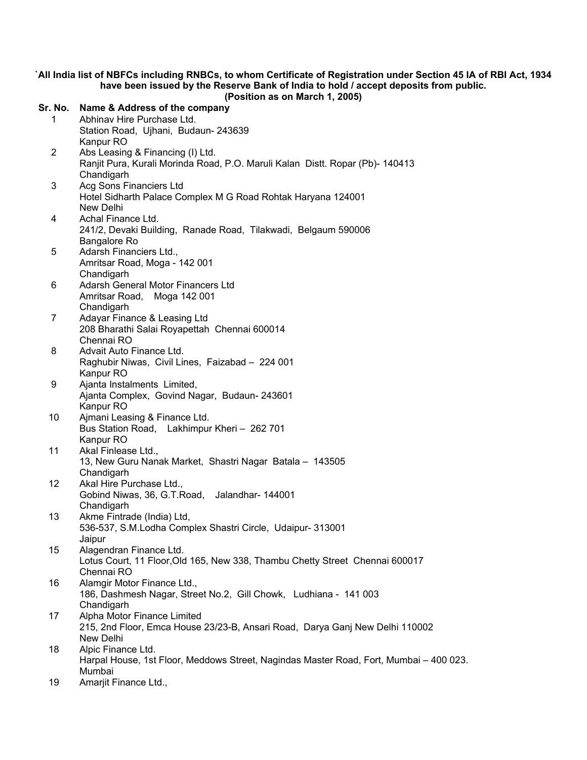`All India list of NBFCs including RNBCs, to whom Certificate of Registration under Section 45 IA of RBI Act, 1934 have been issued by the Reserve Bank of India to hold / accept deposits from public.

(Position as on March 1, 2005)

| Sr. No.         | Name & Address of the company                                                          |
|-----------------|----------------------------------------------------------------------------------------|
| 1               | Abhinav Hire Purchase Ltd.                                                             |
|                 | Station Road, Ujhani, Budaun-243639                                                    |
|                 | Kanpur RO                                                                              |
| $\overline{2}$  | Abs Leasing & Financing (I) Ltd.                                                       |
|                 | Ranjit Pura, Kurali Morinda Road, P.O. Maruli Kalan Distt. Ropar (Pb)- 140413          |
|                 | Chandigarh                                                                             |
| 3               | Acg Sons Financiers Ltd                                                                |
|                 | Hotel Sidharth Palace Complex M G Road Rohtak Haryana 124001                           |
|                 | New Delhi                                                                              |
| 4               | Achal Finance Ltd.                                                                     |
|                 | 241/2, Devaki Building, Ranade Road, Tilakwadi, Belgaum 590006                         |
|                 | Bangalore Ro                                                                           |
| 5               | Adarsh Financiers Ltd.,                                                                |
|                 | Amritsar Road, Moga - 142 001                                                          |
|                 | Chandigarh                                                                             |
| 6               | Adarsh General Motor Financers Ltd                                                     |
|                 | Amritsar Road, Moga 142 001                                                            |
|                 | Chandigarh                                                                             |
| $\overline{7}$  | Adayar Finance & Leasing Ltd                                                           |
|                 | 208 Bharathi Salai Royapettah Chennai 600014<br>Chennai RO                             |
| 8               | Advait Auto Finance Ltd.                                                               |
|                 | Raghubir Niwas, Civil Lines, Faizabad - 224 001                                        |
|                 | Kanpur RO                                                                              |
| 9               | Ajanta Instalments Limited,                                                            |
|                 | Ajanta Complex, Govind Nagar, Budaun-243601                                            |
|                 | Kanpur RO                                                                              |
| 10              | Ajmani Leasing & Finance Ltd.                                                          |
|                 | Bus Station Road, Lakhimpur Kheri - 262 701                                            |
|                 | Kanpur RO                                                                              |
| 11              | Akal Finlease Ltd.,                                                                    |
|                 | 13, New Guru Nanak Market, Shastri Nagar Batala - 143505                               |
|                 | Chandigarh                                                                             |
| 12 <sup>°</sup> | Akal Hire Purchase Ltd.,                                                               |
|                 | Gobind Niwas, 36, G.T.Road, Jalandhar- 144001                                          |
|                 | Chandigarh                                                                             |
| 13              | Akme Fintrade (India) Ltd,                                                             |
|                 | 536-537, S.M.Lodha Complex Shastri Circle, Udaipur- 313001                             |
| 15              | Jaipur<br>Alagendran Finance Ltd.                                                      |
|                 | Lotus Court, 11 Floor, Old 165, New 338, Thambu Chetty Street Chennai 600017           |
|                 | Chennai RO                                                                             |
| 16              | Alamgir Motor Finance Ltd.,                                                            |
|                 | 186, Dashmesh Nagar, Street No.2, Gill Chowk, Ludhiana - 141 003                       |
|                 | Chandigarh                                                                             |
| 17              | Alpha Motor Finance Limited                                                            |
|                 | 215, 2nd Floor, Emca House 23/23-B, Ansari Road, Darya Ganj New Delhi 110002           |
|                 | New Delhi                                                                              |
| 18              | Alpic Finance Ltd.                                                                     |
|                 | Harpal House, 1st Floor, Meddows Street, Nagindas Master Road, Fort, Mumbai - 400 023. |
|                 | Mumbai                                                                                 |
| 19              | Amarjit Finance Ltd.,                                                                  |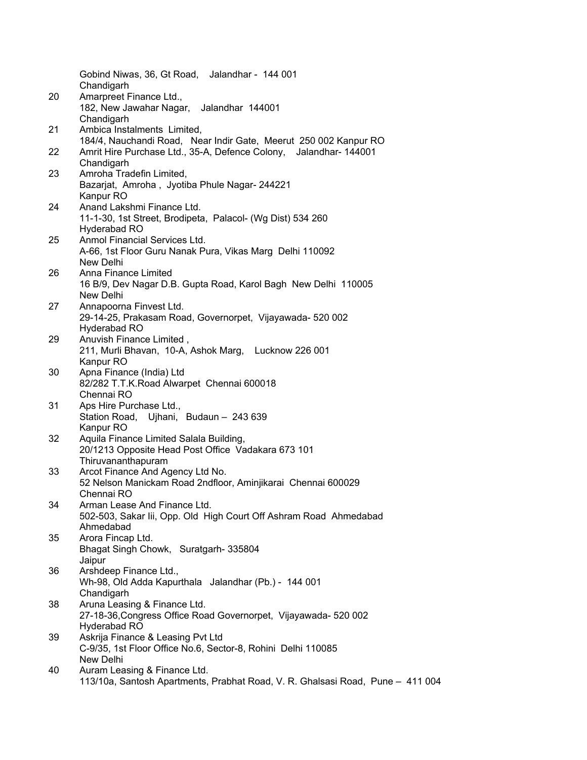|    | Gobind Niwas, 36, Gt Road, Jalandhar - 144 001<br>Chandigarh                                    |
|----|-------------------------------------------------------------------------------------------------|
| 20 | Amarpreet Finance Ltd.,<br>182, New Jawahar Nagar, Jalandhar 144001                             |
|    | Chandigarh                                                                                      |
| 21 | Ambica Instalments Limited,<br>184/4, Nauchandi Road, Near Indir Gate, Meerut 250 002 Kanpur RO |
| 22 | Amrit Hire Purchase Ltd., 35-A, Defence Colony, Jalandhar- 144001                               |
|    | Chandigarh                                                                                      |
| 23 | Amroha Tradefin Limited,                                                                        |
|    | Bazarjat, Amroha, Jyotiba Phule Nagar-244221                                                    |
|    | Kanpur RO                                                                                       |
| 24 | Anand Lakshmi Finance Ltd.                                                                      |
|    | 11-1-30, 1st Street, Brodipeta, Palacol- (Wg Dist) 534 260                                      |
|    | Hyderabad RO                                                                                    |
| 25 | Anmol Financial Services Ltd.                                                                   |
|    | A-66, 1st Floor Guru Nanak Pura, Vikas Marg Delhi 110092                                        |
| 26 | New Delhi<br>Anna Finance Limited                                                               |
|    | 16 B/9, Dev Nagar D.B. Gupta Road, Karol Bagh New Delhi 110005                                  |
|    | New Delhi                                                                                       |
| 27 | Annapoorna Finvest Ltd.                                                                         |
|    | 29-14-25, Prakasam Road, Governorpet, Vijayawada- 520 002                                       |
|    | Hyderabad RO                                                                                    |
| 29 | Anuvish Finance Limited,                                                                        |
|    | 211, Murli Bhavan, 10-A, Ashok Marg, Lucknow 226 001                                            |
|    | Kanpur RO                                                                                       |
| 30 | Apna Finance (India) Ltd                                                                        |
|    | 82/282 T.T.K.Road Alwarpet Chennai 600018<br>Chennai RO                                         |
| 31 | Aps Hire Purchase Ltd.,                                                                         |
|    | Station Road, Ujhani, Budaun - 243 639                                                          |
|    | Kanpur RO                                                                                       |
| 32 | Aquila Finance Limited Salala Building,                                                         |
|    | 20/1213 Opposite Head Post Office Vadakara 673 101                                              |
|    | Thiruvananthapuram                                                                              |
| 33 | Arcot Finance And Agency Ltd No.                                                                |
|    | 52 Nelson Manickam Road 2ndfloor, Aminjikarai Chennai 600029                                    |
| 34 | Chennai RO<br>Arman Lease And Finance Ltd.                                                      |
|    | 502-503, Sakar Iii, Opp. Old High Court Off Ashram Road Ahmedabad                               |
|    | Ahmedabad                                                                                       |
| 35 | Arora Fincap Ltd.                                                                               |
|    | Bhagat Singh Chowk, Suratgarh-335804                                                            |
|    | Jaipur                                                                                          |
| 36 | Arshdeep Finance Ltd.,                                                                          |
|    | Wh-98, Old Adda Kapurthala Jalandhar (Pb.) - 144 001                                            |
|    | Chandigarh                                                                                      |
| 38 | Aruna Leasing & Finance Ltd.                                                                    |
|    | 27-18-36, Congress Office Road Governorpet, Vijayawada- 520 002<br>Hyderabad RO                 |
| 39 | Askrija Finance & Leasing Pvt Ltd                                                               |
|    | C-9/35, 1st Floor Office No.6, Sector-8, Rohini Delhi 110085                                    |
|    | New Delhi                                                                                       |
| 40 | Auram Leasing & Finance Ltd.                                                                    |
|    | 113/10a, Santosh Apartments, Prabhat Road, V. R. Ghalsasi Road, Pune - 411 004                  |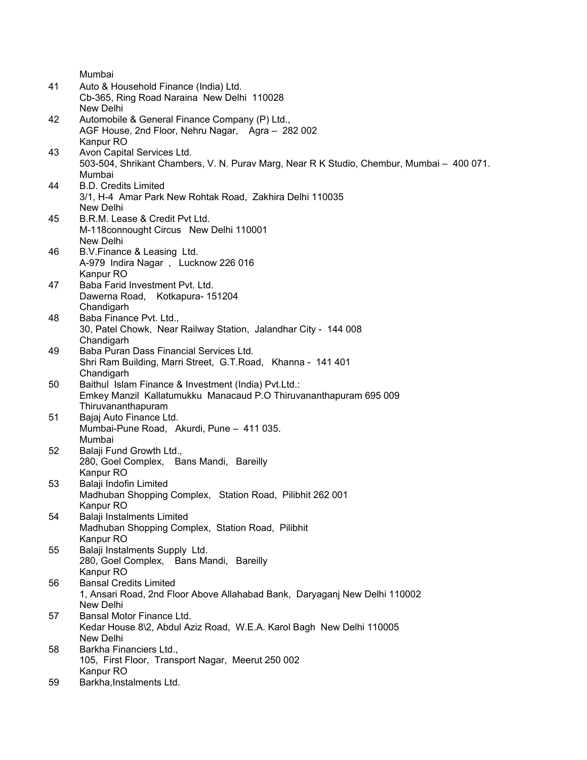|    | Mumbai                                                                                    |
|----|-------------------------------------------------------------------------------------------|
| 41 | Auto & Household Finance (India) Ltd.                                                     |
|    | Cb-365, Ring Road Naraina New Delhi 110028                                                |
|    | New Delhi                                                                                 |
| 42 | Automobile & General Finance Company (P) Ltd.,                                            |
|    | AGF House, 2nd Floor, Nehru Nagar, Agra - 282 002                                         |
|    | Kanpur RO                                                                                 |
| 43 | Avon Capital Services Ltd.                                                                |
|    | 503-504, Shrikant Chambers, V. N. Purav Marg, Near R K Studio, Chembur, Mumbai - 400 071. |
|    | Mumbai                                                                                    |
| 44 | <b>B.D. Credits Limited</b>                                                               |
|    | 3/1, H-4 Amar Park New Rohtak Road, Zakhira Delhi 110035                                  |
|    | New Delhi                                                                                 |
| 45 | B.R.M. Lease & Credit Pvt Ltd.                                                            |
|    | M-118connought Circus New Delhi 110001                                                    |
|    | New Delhi                                                                                 |
| 46 | B.V.Finance & Leasing Ltd.                                                                |
|    | A-979 Indira Nagar, Lucknow 226 016                                                       |
|    | Kanpur RO                                                                                 |
| 47 | Baba Farid Investment Pvt. Ltd.                                                           |
|    | Dawerna Road, Kotkapura-151204                                                            |
|    | Chandigarh                                                                                |
| 48 | Baba Finance Pvt. Ltd.,                                                                   |
|    | 30, Patel Chowk, Near Railway Station, Jalandhar City - 144 008                           |
|    | Chandigarh                                                                                |
| 49 | Baba Puran Dass Financial Services Ltd.                                                   |
|    | Shri Ram Building, Marri Street, G.T.Road, Khanna - 141 401                               |
|    | Chandigarh                                                                                |
| 50 | Baithul Islam Finance & Investment (India) Pvt.Ltd.:                                      |
|    | Emkey Manzil Kallatumukku Manacaud P.O Thiruvananthapuram 695 009                         |
|    | Thiruvananthapuram                                                                        |
| 51 | Bajaj Auto Finance Ltd.                                                                   |
|    | Mumbai-Pune Road, Akurdi, Pune - 411 035.                                                 |
|    | Mumbai                                                                                    |
| 52 | Balaji Fund Growth Ltd.,                                                                  |
|    | 280, Goel Complex, Bans Mandi, Bareilly                                                   |
|    | Kanpur RO                                                                                 |
| 53 | Balaji Indofin Limited                                                                    |
|    | Madhuban Shopping Complex, Station Road, Pilibhit 262 001                                 |
|    | Kanpur RO                                                                                 |
| 54 | Balaji Instalments Limited                                                                |
|    | Madhuban Shopping Complex, Station Road, Pilibhit                                         |
|    | Kanpur <sub>RO</sub>                                                                      |
| 55 | Balaji Instalments Supply Ltd.                                                            |
|    | 280, Goel Complex, Bans Mandi, Bareilly                                                   |
|    | Kanpur RO                                                                                 |
| 56 | <b>Bansal Credits Limited</b>                                                             |
|    | 1, Ansari Road, 2nd Floor Above Allahabad Bank, Daryaganj New Delhi 110002                |
|    | New Delhi                                                                                 |
| 57 | Bansal Motor Finance Ltd.                                                                 |
|    | Kedar House 8\2, Abdul Aziz Road, W.E.A. Karol Bagh New Delhi 110005                      |
|    | New Delhi                                                                                 |
| 58 | Barkha Financiers Ltd.,                                                                   |
|    | 105, First Floor, Transport Nagar, Meerut 250 002                                         |
|    | Kanpur RO                                                                                 |
| 59 | Barkha, Instalments Ltd.                                                                  |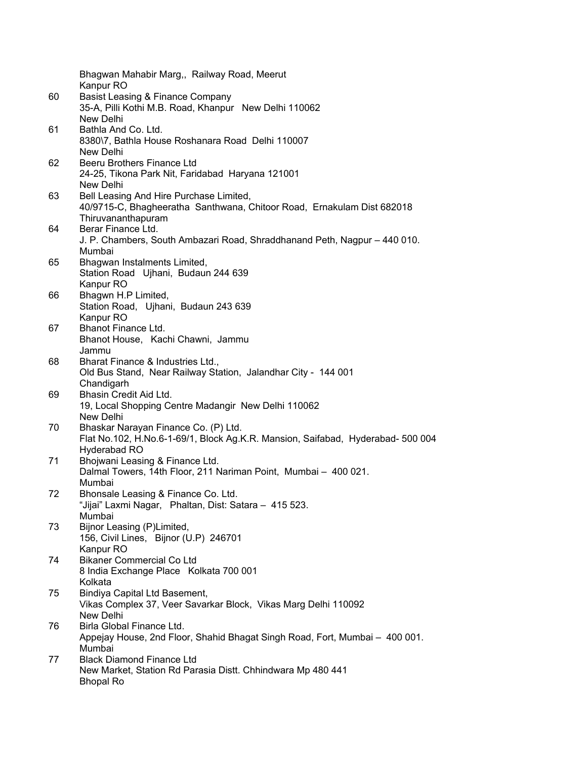|    | Bhagwan Mahabir Marg,, Railway Road, Meerut<br>Kanpur RO                                           |
|----|----------------------------------------------------------------------------------------------------|
| 60 | Basist Leasing & Finance Company<br>35-A, Pilli Kothi M.B. Road, Khanpur New Delhi 110062          |
|    | New Delhi<br>Bathla And Co. Ltd.                                                                   |
| 61 | 8380\7, Bathla House Roshanara Road Delhi 110007                                                   |
|    | New Delhi                                                                                          |
| 62 | Beeru Brothers Finance Ltd                                                                         |
|    | 24-25, Tikona Park Nit, Faridabad Haryana 121001                                                   |
|    | New Delhi                                                                                          |
| 63 | Bell Leasing And Hire Purchase Limited,                                                            |
|    | 40/9715-C, Bhagheeratha Santhwana, Chitoor Road, Ernakulam Dist 682018                             |
|    | Thiruvananthapuram                                                                                 |
| 64 | Berar Finance Ltd.                                                                                 |
|    | J. P. Chambers, South Ambazari Road, Shraddhanand Peth, Nagpur - 440 010.                          |
|    | Mumbai                                                                                             |
| 65 | Bhagwan Instalments Limited,                                                                       |
|    | Station Road Ujhani, Budaun 244 639                                                                |
|    | Kanpur RO                                                                                          |
| 66 | Bhagwn H.P Limited,                                                                                |
|    | Station Road, Ujhani, Budaun 243 639                                                               |
|    | Kanpur RO                                                                                          |
| 67 | Bhanot Finance Ltd.                                                                                |
|    | Bhanot House, Kachi Chawni, Jammu                                                                  |
|    | Jammu                                                                                              |
| 68 | Bharat Finance & Industries Ltd.,<br>Old Bus Stand, Near Railway Station, Jalandhar City - 144 001 |
|    | Chandigarh                                                                                         |
| 69 | Bhasin Credit Aid Ltd.                                                                             |
|    | 19, Local Shopping Centre Madangir New Delhi 110062                                                |
|    | New Delhi                                                                                          |
| 70 | Bhaskar Narayan Finance Co. (P) Ltd.                                                               |
|    | Flat No.102, H.No.6-1-69/1, Block Ag.K.R. Mansion, Saifabad, Hyderabad- 500 004                    |
|    | Hyderabad RO                                                                                       |
| 71 | Bhojwani Leasing & Finance Ltd.                                                                    |
|    | Dalmal Towers, 14th Floor, 211 Nariman Point, Mumbai - 400 021.                                    |
| 72 | Mumbai<br>Bhonsale Leasing & Finance Co. Ltd.                                                      |
|    | "Jijai" Laxmi Nagar, Phaltan, Dist: Satara - 415 523.                                              |
|    | Mumbai                                                                                             |
| 73 | Bijnor Leasing (P)Limited,                                                                         |
|    | 156, Civil Lines, Bijnor (U.P) 246701                                                              |
|    | Kanpur RO                                                                                          |
| 74 | <b>Bikaner Commercial Co Ltd</b>                                                                   |
|    | 8 India Exchange Place Kolkata 700 001                                                             |
|    | Kolkata                                                                                            |
| 75 | Bindiya Capital Ltd Basement,                                                                      |
|    | Vikas Complex 37, Veer Savarkar Block, Vikas Marg Delhi 110092                                     |
|    | New Delhi                                                                                          |
| 76 | Birla Global Finance Ltd.                                                                          |
|    | Appejay House, 2nd Floor, Shahid Bhagat Singh Road, Fort, Mumbai - 400 001.<br>Mumbai              |
| 77 | <b>Black Diamond Finance Ltd</b>                                                                   |
|    | New Market, Station Rd Parasia Distt. Chhindwara Mp 480 441                                        |
|    | <b>Bhopal Ro</b>                                                                                   |
|    |                                                                                                    |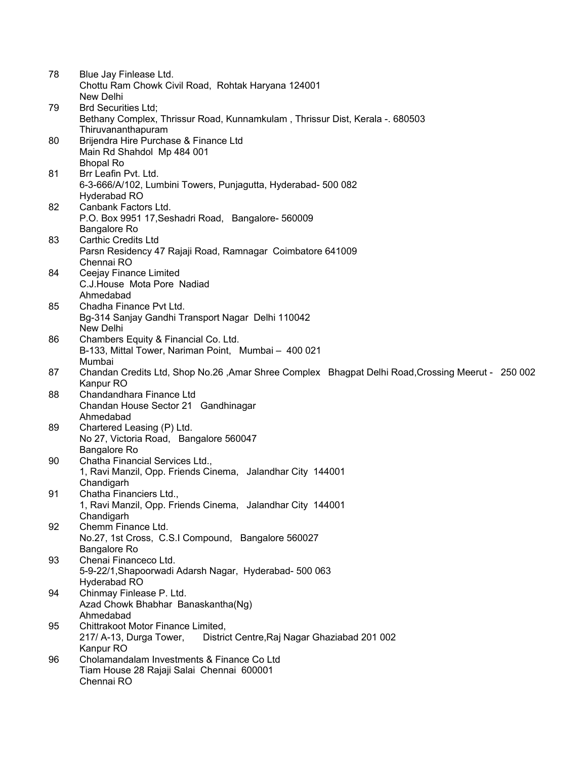| 78 | Blue Jay Finlease Ltd.                                                                            |
|----|---------------------------------------------------------------------------------------------------|
|    | Chottu Ram Chowk Civil Road, Rohtak Haryana 124001                                                |
|    | New Delhi                                                                                         |
| 79 | <b>Brd Securities Ltd;</b>                                                                        |
|    | Bethany Complex, Thrissur Road, Kunnamkulam, Thrissur Dist, Kerala -. 680503                      |
|    | Thiruvananthapuram                                                                                |
| 80 | Brijendra Hire Purchase & Finance Ltd                                                             |
|    | Main Rd Shahdol Mp 484 001                                                                        |
|    | <b>Bhopal Ro</b>                                                                                  |
| 81 | Brr Leafin Pvt. Ltd.                                                                              |
|    | 6-3-666/A/102, Lumbini Towers, Punjagutta, Hyderabad- 500 082<br>Hyderabad RO                     |
| 82 | Canbank Factors Ltd.                                                                              |
|    | P.O. Box 9951 17, Seshadri Road, Bangalore-560009                                                 |
|    | <b>Bangalore Ro</b>                                                                               |
| 83 | <b>Carthic Credits Ltd</b>                                                                        |
|    | Parsn Residency 47 Rajaji Road, Ramnagar Coimbatore 641009                                        |
|    | Chennai RO                                                                                        |
| 84 | Ceejay Finance Limited                                                                            |
|    | C.J.House Mota Pore Nadiad                                                                        |
|    | Ahmedabad                                                                                         |
| 85 | Chadha Finance Pvt Ltd.                                                                           |
|    | Bg-314 Sanjay Gandhi Transport Nagar Delhi 110042                                                 |
|    | New Delhi                                                                                         |
| 86 | Chambers Equity & Financial Co. Ltd.                                                              |
|    | B-133, Mittal Tower, Nariman Point, Mumbai - 400 021                                              |
|    | Mumbai                                                                                            |
| 87 | Chandan Credits Ltd, Shop No.26, Amar Shree Complex Bhagpat Delhi Road, Crossing Meerut - 250 002 |
|    | Kanpur RO                                                                                         |
| 88 | Chandandhara Finance Ltd                                                                          |
|    | Chandan House Sector 21 Gandhinagar                                                               |
|    | Ahmedabad                                                                                         |
| 89 | Chartered Leasing (P) Ltd.                                                                        |
|    | No 27, Victoria Road, Bangalore 560047                                                            |
|    | <b>Bangalore Ro</b>                                                                               |
| 90 | Chatha Financial Services Ltd.,                                                                   |
|    | 1, Ravi Manzil, Opp. Friends Cinema, Jalandhar City 144001                                        |
|    | Chandigarh                                                                                        |
| 91 | Chatha Financiers Ltd.,                                                                           |
|    | 1, Ravi Manzil, Opp. Friends Cinema, Jalandhar City 144001<br>Chandigarh                          |
| 92 | Chemm Finance Ltd.                                                                                |
|    | No.27, 1st Cross, C.S.I Compound, Bangalore 560027                                                |
|    | Bangalore Ro                                                                                      |
| 93 | Chenai Financeco Ltd.                                                                             |
|    | 5-9-22/1, Shapoorwadi Adarsh Nagar, Hyderabad- 500 063                                            |
|    | Hyderabad RO                                                                                      |
| 94 | Chinmay Finlease P. Ltd.                                                                          |
|    | Azad Chowk Bhabhar Banaskantha(Ng)                                                                |
|    | Ahmedabad                                                                                         |
| 95 | Chittrakoot Motor Finance Limited,                                                                |
|    | 217/ A-13, Durga Tower,<br>District Centre, Raj Nagar Ghaziabad 201 002                           |
|    | Kanpur RO                                                                                         |
| 96 | Cholamandalam Investments & Finance Co Ltd                                                        |
|    | Tiam House 28 Rajaji Salai Chennai 600001                                                         |
|    | Chennai RO                                                                                        |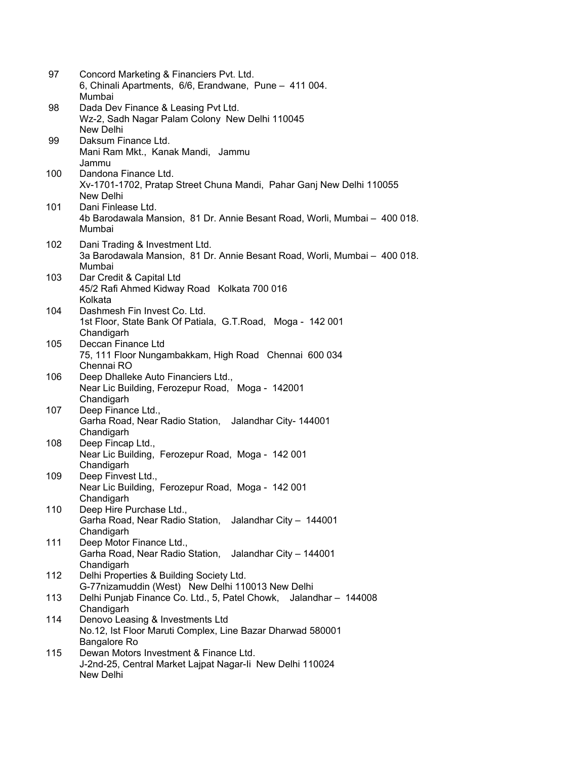| 97  | Concord Marketing & Financiers Pvt. Ltd.<br>6, Chinali Apartments, 6/6, Erandwane, Pune - 411 004.<br>Mumbai          |
|-----|-----------------------------------------------------------------------------------------------------------------------|
| 98  | Dada Dev Finance & Leasing Pvt Ltd.<br>Wz-2, Sadh Nagar Palam Colony New Delhi 110045<br>New Delhi                    |
| 99  | Daksum Finance Ltd.<br>Mani Ram Mkt., Kanak Mandi, Jammu<br>Jammu                                                     |
| 100 | Dandona Finance Ltd.<br>Xv-1701-1702, Pratap Street Chuna Mandi, Pahar Ganj New Delhi 110055<br>New Delhi             |
| 101 | Dani Finlease Ltd.<br>4b Barodawala Mansion, 81 Dr. Annie Besant Road, Worli, Mumbai - 400 018.<br>Mumbai             |
| 102 | Dani Trading & Investment Ltd.<br>3a Barodawala Mansion, 81 Dr. Annie Besant Road, Worli, Mumbai - 400 018.<br>Mumbai |
| 103 | Dar Credit & Capital Ltd<br>45/2 Rafi Ahmed Kidway Road Kolkata 700 016<br>Kolkata                                    |
| 104 | Dashmesh Fin Invest Co. Ltd.<br>1st Floor, State Bank Of Patiala, G.T. Road, Moga - 142 001<br>Chandigarh             |
| 105 | Deccan Finance Ltd<br>75, 111 Floor Nungambakkam, High Road Chennai 600 034<br>Chennai RO                             |
| 106 | Deep Dhalleke Auto Financiers Ltd.,<br>Near Lic Building, Ferozepur Road, Moga - 142001<br>Chandigarh                 |
| 107 | Deep Finance Ltd.,<br>Garha Road, Near Radio Station, Jalandhar City-144001<br>Chandigarh                             |
| 108 | Deep Fincap Ltd.,<br>Near Lic Building, Ferozepur Road, Moga - 142 001<br>Chandigarh                                  |
| 109 | Deep Finvest Ltd.,<br>Near Lic Building, Ferozepur Road, Moga - 142 001<br>Chandigarh                                 |
| 110 | Deep Hire Purchase Ltd.,<br>Garha Road, Near Radio Station,<br>Jalandhar City - 144001<br>Chandigarh                  |
| 111 | Deep Motor Finance Ltd.,<br>Garha Road, Near Radio Station, Jalandhar City - 144001<br>Chandigarh                     |
| 112 | Delhi Properties & Building Society Ltd.<br>G-77nizamuddin (West) New Delhi 110013 New Delhi                          |
| 113 | Delhi Punjab Finance Co. Ltd., 5, Patel Chowk, Jalandhar - 144008<br>Chandigarh                                       |
| 114 | Denovo Leasing & Investments Ltd<br>No.12, Ist Floor Maruti Complex, Line Bazar Dharwad 580001<br>Bangalore Ro        |
| 115 | Dewan Motors Investment & Finance Ltd.<br>J-2nd-25, Central Market Lajpat Nagar-li New Delhi 110024<br>New Delhi      |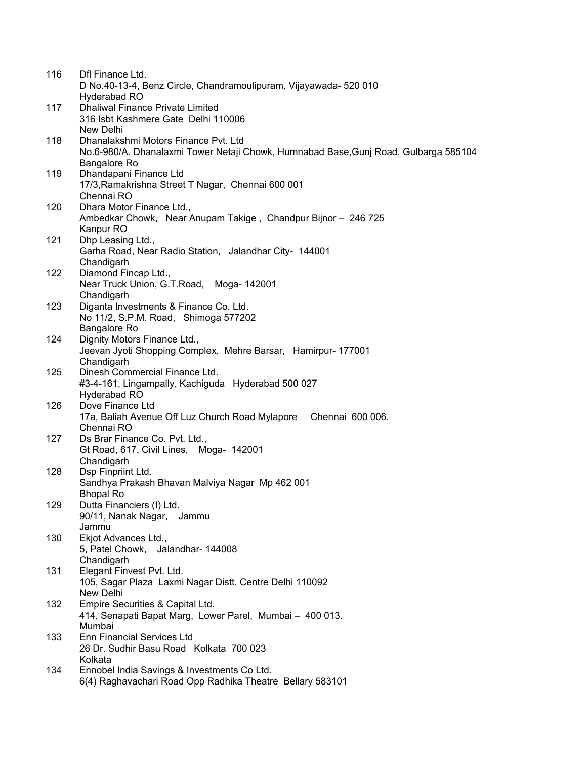| 116 | Dfl Finance Ltd.                                                                     |
|-----|--------------------------------------------------------------------------------------|
|     | D No.40-13-4, Benz Circle, Chandramoulipuram, Vijayawada- 520 010                    |
|     | Hyderabad RO                                                                         |
| 117 | <b>Dhaliwal Finance Private Limited</b>                                              |
|     | 316 Isbt Kashmere Gate Delhi 110006                                                  |
|     | New Delhi                                                                            |
| 118 | Dhanalakshmi Motors Finance Pvt. Ltd                                                 |
|     | No.6-980/A. Dhanalaxmi Tower Netaji Chowk, Humnabad Base, Gunj Road, Gulbarga 585104 |
|     | Bangalore Ro                                                                         |
| 119 | Dhandapani Finance Ltd                                                               |
|     | 17/3, Ramakrishna Street T Nagar, Chennai 600 001                                    |
|     | Chennai RO                                                                           |
| 120 | Dhara Motor Finance Ltd.,                                                            |
|     | Ambedkar Chowk, Near Anupam Takige, Chandpur Bijnor - 246 725                        |
|     | Kanpur RO                                                                            |
| 121 | Dhp Leasing Ltd.,                                                                    |
|     | Garha Road, Near Radio Station, Jalandhar City- 144001<br>Chandigarh                 |
| 122 | Diamond Fincap Ltd.,                                                                 |
|     | Near Truck Union, G.T.Road, Moga-142001                                              |
|     | Chandigarh                                                                           |
| 123 | Diganta Investments & Finance Co. Ltd.                                               |
|     | No 11/2, S.P.M. Road, Shimoga 577202                                                 |
|     | Bangalore Ro                                                                         |
| 124 | Dignity Motors Finance Ltd.,                                                         |
|     | Jeevan Jyoti Shopping Complex, Mehre Barsar, Hamirpur- 177001                        |
|     | Chandigarh                                                                           |
| 125 | Dinesh Commercial Finance Ltd.                                                       |
|     | #3-4-161, Lingampally, Kachiguda Hyderabad 500 027                                   |
|     | Hyderabad RO                                                                         |
| 126 | Dove Finance Ltd                                                                     |
|     | 17a, Baliah Avenue Off Luz Church Road Mylapore<br>Chennai 600 006.                  |
|     | Chennai RO                                                                           |
| 127 | Ds Brar Finance Co. Pvt. Ltd.,                                                       |
|     | Gt Road, 617, Civil Lines, Moga- 142001                                              |
|     | Chandigarh                                                                           |
| 128 | Dsp Finpriint Ltd.                                                                   |
|     | Sandhya Prakash Bhavan Malviya Nagar Mp 462 001                                      |
|     | <b>Bhopal Ro</b>                                                                     |
| 129 | Dutta Financiers (I) Ltd.                                                            |
|     | 90/11, Nanak Nagar, Jammu                                                            |
|     | Jammu                                                                                |
| 130 | Ekjot Advances Ltd.,<br>5, Patel Chowk, Jalandhar- 144008                            |
|     | Chandigarh                                                                           |
| 131 | Elegant Finvest Pvt. Ltd.                                                            |
|     | 105, Sagar Plaza Laxmi Nagar Distt. Centre Delhi 110092                              |
|     | New Delhi                                                                            |
| 132 | Empire Securities & Capital Ltd.                                                     |
|     | 414, Senapati Bapat Marg, Lower Parel, Mumbai - 400 013.                             |
|     | Mumbai                                                                               |
| 133 | <b>Enn Financial Services Ltd</b>                                                    |
|     | 26 Dr. Sudhir Basu Road Kolkata 700 023                                              |
|     | Kolkata                                                                              |
| 134 | Ennobel India Savings & Investments Co Ltd.                                          |
|     | 6(4) Raghavachari Road Opp Radhika Theatre Bellary 583101                            |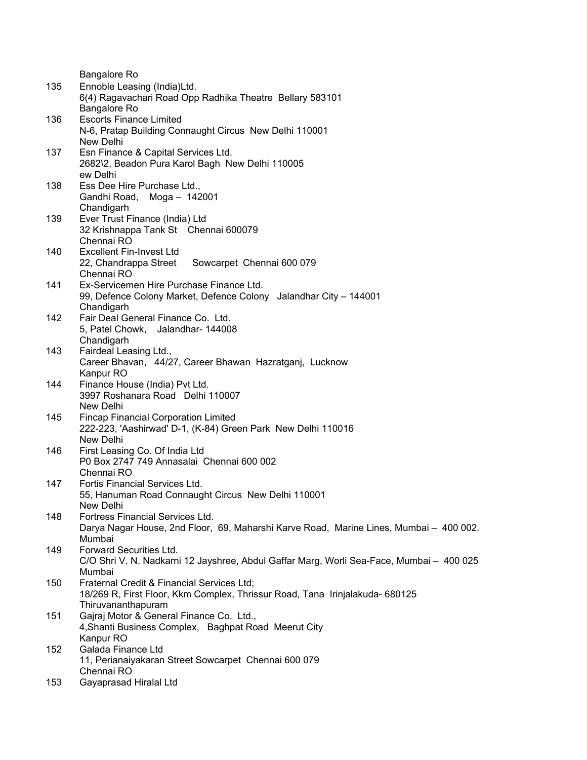Bangalore Ro 135 Ennoble Leasing (India)Ltd. 6(4) Ragavachari Road Opp Radhika Theatre Bellary 583101 Bangalore Ro 136 Escorts Finance Limited N-6, Pratap Building Connaught Circus New Delhi 110001 New Delhi 137 Esn Finance & Capital Services Ltd. 2682\2, Beadon Pura Karol Bagh New Delhi 110005 ew Delhi 138 Ess Dee Hire Purchase Ltd., Gandhi Road, Moga – 142001 Chandigarh 139 Ever Trust Finance (India) Ltd 32 Krishnappa Tank St Chennai 600079 Chennai RO 140 Excellent Fin-Invest Ltd 22, Chandrappa Street Sowcarpet Chennai 600 079 Chennai RO 141 Ex-Servicemen Hire Purchase Finance Ltd. 99, Defence Colony Market, Defence Colony Jalandhar City – 144001 **Chandigarh** 142 Fair Deal General Finance Co. Ltd. 5, Patel Chowk, Jalandhar- 144008 Chandigarh 143 Fairdeal Leasing Ltd., Career Bhavan, 44/27, Career Bhawan Hazratganj, Lucknow Kanpur RO 144 Finance House (India) Pvt Ltd. 3997 Roshanara Road Delhi 110007 New Delhi 145 Fincap Financial Corporation Limited 222-223, 'Aashirwad' D-1, (K-84) Green Park New Delhi 110016 New Delhi 146 First Leasing Co. Of India Ltd P0 Box 2747 749 Annasalai Chennai 600 002 Chennai RO 147 Fortis Financial Services Ltd. 55, Hanuman Road Connaught Circus New Delhi 110001 New Delhi 148 Fortress Financial Services Ltd. Darya Nagar House, 2nd Floor, 69, Maharshi Karve Road, Marine Lines, Mumbai – 400 002. Mumbai 149 Forward Securities Ltd. C/O Shri V. N. Nadkarni 12 Jayshree, Abdul Gaffar Marg, Worli Sea-Face, Mumbai – 400 025 Mumbai 150 Fraternal Credit & Financial Services Ltd; 18/269 R, First Floor, Kkm Complex, Thrissur Road, Tana Irinjalakuda- 680125 Thiruvananthapuram 151 Gajraj Motor & General Finance Co. Ltd., 4,Shanti Business Complex, Baghpat Road Meerut City Kanpur RO 152 Galada Finance Ltd 11, Perianaiyakaran Street Sowcarpet Chennai 600 079 Chennai RO 153 Gayaprasad Hiralal Ltd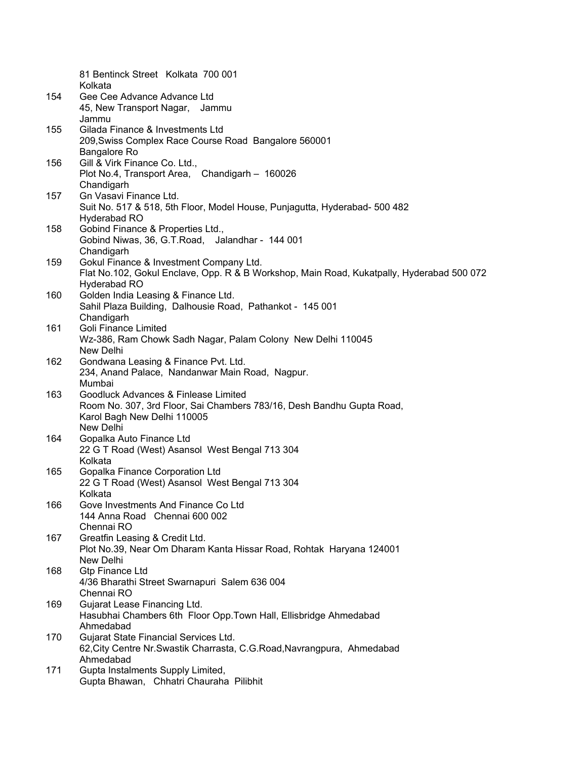|     | 81 Bentinck Street Kolkata 700 001<br>Kolkata                                                    |
|-----|--------------------------------------------------------------------------------------------------|
| 154 | Gee Cee Advance Advance Ltd                                                                      |
|     | 45, New Transport Nagar, Jammu                                                                   |
|     | Jammu                                                                                            |
| 155 | Gilada Finance & Investments Ltd                                                                 |
|     | 209, Swiss Complex Race Course Road Bangalore 560001                                             |
|     | Bangalore Ro                                                                                     |
| 156 | Gill & Virk Finance Co. Ltd.,                                                                    |
|     | Plot No.4, Transport Area, Chandigarh - 160026                                                   |
|     | Chandigarh                                                                                       |
| 157 | Gn Vasavi Finance Ltd.                                                                           |
|     | Suit No. 517 & 518, 5th Floor, Model House, Punjagutta, Hyderabad- 500 482                       |
|     | Hyderabad RO                                                                                     |
| 158 | Gobind Finance & Properties Ltd.,                                                                |
|     | Gobind Niwas, 36, G.T.Road, Jalandhar - 144 001                                                  |
|     | Chandigarh                                                                                       |
| 159 | Gokul Finance & Investment Company Ltd.                                                          |
|     | Flat No.102, Gokul Enclave, Opp. R & B Workshop, Main Road, Kukatpally, Hyderabad 500 072        |
|     | Hyderabad RO                                                                                     |
| 160 | Golden India Leasing & Finance Ltd.<br>Sahil Plaza Building, Dalhousie Road, Pathankot - 145 001 |
|     | Chandigarh                                                                                       |
| 161 | <b>Goli Finance Limited</b>                                                                      |
|     | Wz-386, Ram Chowk Sadh Nagar, Palam Colony New Delhi 110045                                      |
|     | New Delhi                                                                                        |
| 162 | Gondwana Leasing & Finance Pvt. Ltd.                                                             |
|     | 234, Anand Palace, Nandanwar Main Road, Nagpur.                                                  |
|     | Mumbai                                                                                           |
| 163 | Goodluck Advances & Finlease Limited                                                             |
|     | Room No. 307, 3rd Floor, Sai Chambers 783/16, Desh Bandhu Gupta Road,                            |
|     | Karol Bagh New Delhi 110005                                                                      |
|     | New Delhi                                                                                        |
| 164 | Gopalka Auto Finance Ltd                                                                         |
|     | 22 G T Road (West) Asansol West Bengal 713 304                                                   |
|     | Kolkata                                                                                          |
| 165 | Gopalka Finance Corporation Ltd                                                                  |
|     | 22 G T Road (West) Asansol West Bengal 713 304                                                   |
| 166 | Kolkata<br>Gove Investments And Finance Co Ltd                                                   |
|     | 144 Anna Road Chennai 600 002                                                                    |
|     | Chennai RO                                                                                       |
| 167 | Greatfin Leasing & Credit Ltd.                                                                   |
|     | Plot No.39, Near Om Dharam Kanta Hissar Road, Rohtak Haryana 124001                              |
|     | New Delhi                                                                                        |
| 168 | <b>Gtp Finance Ltd</b>                                                                           |
|     | 4/36 Bharathi Street Swarnapuri Salem 636 004                                                    |
|     | Chennai RO                                                                                       |
| 169 | Gujarat Lease Financing Ltd.                                                                     |
|     | Hasubhai Chambers 6th Floor Opp. Town Hall, Ellisbridge Ahmedabad                                |
|     | Ahmedabad                                                                                        |
| 170 | Gujarat State Financial Services Ltd.                                                            |
|     | 62, City Centre Nr. Swastik Charrasta, C.G. Road, Navrangpura, Ahmedabad                         |
|     | Ahmedabad                                                                                        |
| 171 | Gupta Instalments Supply Limited,<br>Gupta Bhawan, Chhatri Chauraha Pilibhit                     |
|     |                                                                                                  |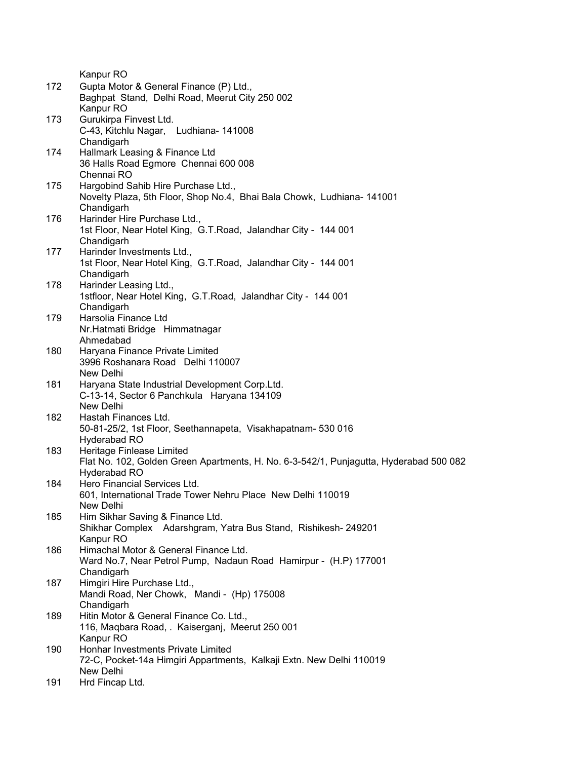Kanpur RO 172 Gupta Motor & General Finance (P) Ltd., Baghpat Stand, Delhi Road, Meerut City 250 002 Kanpur RO 173 Gurukirpa Finvest Ltd. C-43, Kitchlu Nagar, Ludhiana- 141008 Chandigarh 174 Hallmark Leasing & Finance Ltd 36 Halls Road Egmore Chennai 600 008 Chennai RO 175 Hargobind Sahib Hire Purchase Ltd., Novelty Plaza, 5th Floor, Shop No.4, Bhai Bala Chowk, Ludhiana- 141001 Chandigarh 176 Harinder Hire Purchase Ltd., 1st Floor, Near Hotel King, G.T.Road, Jalandhar City - 144 001 Chandigarh 177 Harinder Investments Ltd., 1st Floor, Near Hotel King, G.T.Road, Jalandhar City - 144 001 Chandigarh 178 Harinder Leasing Ltd., 1stfloor, Near Hotel King, G.T.Road, Jalandhar City - 144 001 Chandigarh 179 Harsolia Finance Ltd Nr.Hatmati Bridge Himmatnagar Ahmedabad 180 Haryana Finance Private Limited 3996 Roshanara Road Delhi 110007 New Delhi 181 Haryana State Industrial Development Corp.Ltd. C-13-14, Sector 6 Panchkula Haryana 134109 New Delhi 182 Hastah Finances Ltd. 50-81-25/2, 1st Floor, Seethannapeta, Visakhapatnam- 530 016 Hyderabad RO 183 Heritage Finlease Limited Flat No. 102, Golden Green Apartments, H. No. 6-3-542/1, Punjagutta, Hyderabad 500 082 Hyderabad RO 184 Hero Financial Services Ltd. 601, International Trade Tower Nehru Place New Delhi 110019 New Delhi 185 Him Sikhar Saving & Finance Ltd. Shikhar Complex Adarshgram, Yatra Bus Stand, Rishikesh- 249201 Kanpur RO 186 Himachal Motor & General Finance Ltd. Ward No.7, Near Petrol Pump, Nadaun Road Hamirpur - (H.P) 177001 Chandigarh 187 Himgiri Hire Purchase Ltd., Mandi Road, Ner Chowk, Mandi - (Hp) 175008 Chandigarh 189 Hitin Motor & General Finance Co. Ltd., 116, Maqbara Road, . Kaiserganj, Meerut 250 001 Kanpur RO 190 Honhar Investments Private Limited 72-C, Pocket-14a Himgiri Appartments, Kalkaji Extn. New Delhi 110019 New Delhi

191 Hrd Fincap Ltd.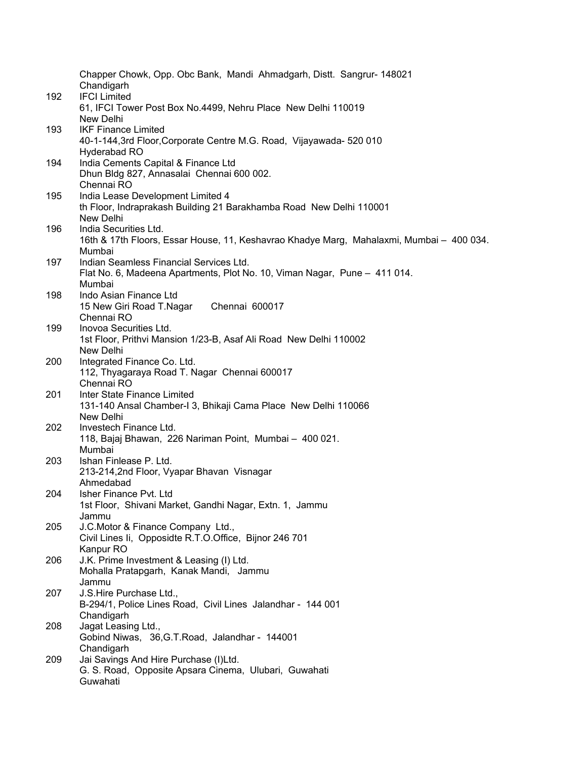|     | Chapper Chowk, Opp. Obc Bank, Mandi Ahmadgarh, Distt. Sangrur- 148021<br>Chandigarh      |
|-----|------------------------------------------------------------------------------------------|
| 192 | <b>IFCI Limited</b><br>61, IFCI Tower Post Box No.4499, Nehru Place New Delhi 110019     |
|     | New Delhi                                                                                |
| 193 | <b>IKF Finance Limited</b>                                                               |
|     | 40-1-144,3rd Floor, Corporate Centre M.G. Road, Vijayawada- 520 010                      |
|     | Hyderabad RO                                                                             |
| 194 | India Cements Capital & Finance Ltd<br>Dhun Bldg 827, Annasalai Chennai 600 002.         |
|     | Chennai RO                                                                               |
| 195 | India Lease Development Limited 4                                                        |
|     | th Floor, Indraprakash Building 21 Barakhamba Road New Delhi 110001                      |
|     | New Delhi                                                                                |
| 196 | India Securities Ltd.                                                                    |
|     | 16th & 17th Floors, Essar House, 11, Keshavrao Khadye Marg, Mahalaxmi, Mumbai - 400 034. |
|     | Mumbai                                                                                   |
| 197 | Indian Seamless Financial Services Ltd.                                                  |
|     | Flat No. 6, Madeena Apartments, Plot No. 10, Viman Nagar, Pune - 411 014.<br>Mumbai      |
| 198 | Indo Asian Finance Ltd                                                                   |
|     | 15 New Giri Road T.Nagar<br>Chennai 600017                                               |
|     | Chennai RO                                                                               |
| 199 | Inovoa Securities Ltd.                                                                   |
|     | 1st Floor, Prithvi Mansion 1/23-B, Asaf Ali Road New Delhi 110002                        |
|     | New Delhi                                                                                |
| 200 | Integrated Finance Co. Ltd.                                                              |
|     | 112, Thyagaraya Road T. Nagar Chennai 600017<br>Chennai RO                               |
| 201 | Inter State Finance Limited                                                              |
|     | 131-140 Ansal Chamber-I 3, Bhikaji Cama Place New Delhi 110066                           |
|     | New Delhi                                                                                |
| 202 | Investech Finance Ltd.                                                                   |
|     | 118, Bajaj Bhawan, 226 Nariman Point, Mumbai - 400 021.                                  |
|     | Mumbai                                                                                   |
| 203 | Ishan Finlease P. Ltd.                                                                   |
|     | 213-214,2nd Floor, Vyapar Bhavan Visnagar<br>Ahmedabad                                   |
| 204 | Isher Finance Pvt. Ltd                                                                   |
|     | 1st Floor, Shivani Market, Gandhi Nagar, Extn. 1, Jammu                                  |
|     | Jammu                                                                                    |
| 205 | J.C.Motor & Finance Company Ltd.,                                                        |
|     | Civil Lines Ii, Opposidte R.T.O.Office, Bijnor 246 701                                   |
|     | Kanpur RO                                                                                |
| 206 | J.K. Prime Investment & Leasing (I) Ltd.                                                 |
|     | Mohalla Pratapgarh, Kanak Mandi, Jammu                                                   |
| 207 | Jammu<br>J.S.Hire Purchase Ltd.,                                                         |
|     | B-294/1, Police Lines Road, Civil Lines Jalandhar - 144 001                              |
|     | Chandigarh                                                                               |
| 208 | Jagat Leasing Ltd.,                                                                      |
|     | Gobind Niwas, 36, G.T. Road, Jalandhar - 144001                                          |
|     | Chandigarh                                                                               |
| 209 | Jai Savings And Hire Purchase (I)Ltd.                                                    |
|     | G. S. Road, Opposite Apsara Cinema, Ulubari, Guwahati<br>Guwahati                        |
|     |                                                                                          |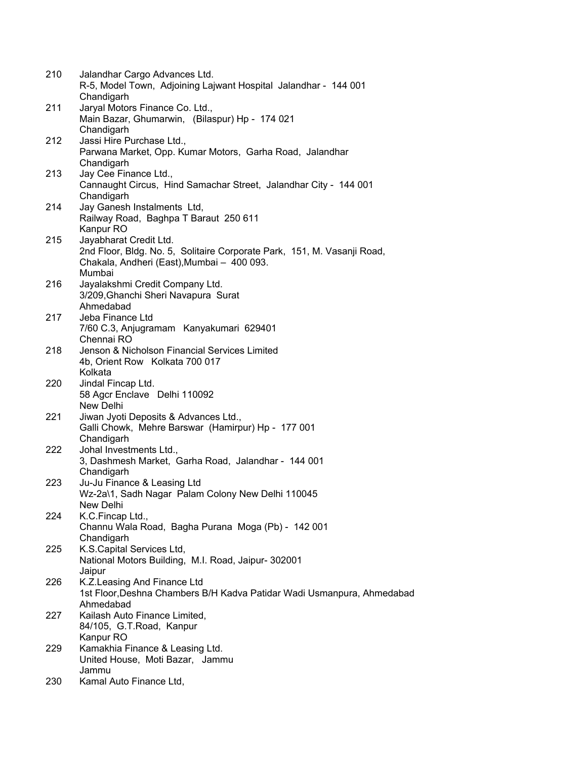| 210 | Jalandhar Cargo Advances Ltd.<br>R-5, Model Town, Adjoining Lajwant Hospital Jalandhar - 144 001                                |
|-----|---------------------------------------------------------------------------------------------------------------------------------|
|     | Chandigarh                                                                                                                      |
| 211 | Jaryal Motors Finance Co. Ltd.,<br>Main Bazar, Ghumarwin, (Bilaspur) Hp - 174 021                                               |
|     | Chandigarh                                                                                                                      |
| 212 | Jassi Hire Purchase Ltd.,<br>Parwana Market, Opp. Kumar Motors, Garha Road, Jalandhar                                           |
|     | Chandigarh                                                                                                                      |
| 213 | Jay Cee Finance Ltd.,<br>Cannaught Circus, Hind Samachar Street, Jalandhar City - 144 001                                       |
| 214 | Chandigarh<br>Jay Ganesh Instalments Ltd,                                                                                       |
|     | Railway Road, Baghpa T Baraut 250 611<br>Kanpur RO                                                                              |
| 215 | Jayabharat Credit Ltd.                                                                                                          |
|     | 2nd Floor, Bldg. No. 5, Solitaire Corporate Park, 151, M. Vasanji Road,<br>Chakala, Andheri (East), Mumbai - 400 093.<br>Mumbai |
| 216 | Jayalakshmi Credit Company Ltd.                                                                                                 |
|     | 3/209, Ghanchi Sheri Navapura Surat<br>Ahmedabad                                                                                |
| 217 | Jeba Finance Ltd                                                                                                                |
|     | 7/60 C.3, Anjugramam Kanyakumari 629401<br>Chennai RO                                                                           |
|     |                                                                                                                                 |
| 218 | Jenson & Nicholson Financial Services Limited                                                                                   |
|     | 4b, Orient Row Kolkata 700 017                                                                                                  |
|     | Kolkata                                                                                                                         |
| 220 | Jindal Fincap Ltd.                                                                                                              |
|     | 58 Agcr Enclave Delhi 110092                                                                                                    |
|     | New Delhi                                                                                                                       |
| 221 | Jiwan Jyoti Deposits & Advances Ltd.,                                                                                           |
|     | Galli Chowk, Mehre Barswar (Hamirpur) Hp - 177 001                                                                              |
|     | Chandigarh                                                                                                                      |
| 222 | Johal Investments Ltd.,                                                                                                         |
|     | 3, Dashmesh Market, Garha Road, Jalandhar - 144 001                                                                             |
|     | Chandigarh                                                                                                                      |
| 223 | Ju-Ju Finance & Leasing Ltd                                                                                                     |
|     | Wz-2a\1, Sadh Nagar Palam Colony New Delhi 110045                                                                               |
|     | New Delhi                                                                                                                       |
| 224 | K.C.Fincap Ltd.,                                                                                                                |
|     | Channu Wala Road, Bagha Purana Moga (Pb) - 142 001                                                                              |
|     | Chandigarh                                                                                                                      |
| 225 | K.S.Capital Services Ltd,                                                                                                       |
|     | National Motors Building, M.I. Road, Jaipur- 302001                                                                             |
|     | Jaipur                                                                                                                          |
| 226 | K.Z.Leasing And Finance Ltd                                                                                                     |
|     | 1st Floor, Deshna Chambers B/H Kadva Patidar Wadi Usmanpura, Ahmedabad                                                          |
|     | Ahmedabad                                                                                                                       |
| 227 | Kailash Auto Finance Limited,                                                                                                   |
|     | 84/105, G.T.Road, Kanpur                                                                                                        |
|     | Kanpur RO                                                                                                                       |
| 229 | Kamakhia Finance & Leasing Ltd.                                                                                                 |
|     | United House, Moti Bazar, Jammu                                                                                                 |
|     | Jammu                                                                                                                           |
| 230 | Kamal Auto Finance Ltd,                                                                                                         |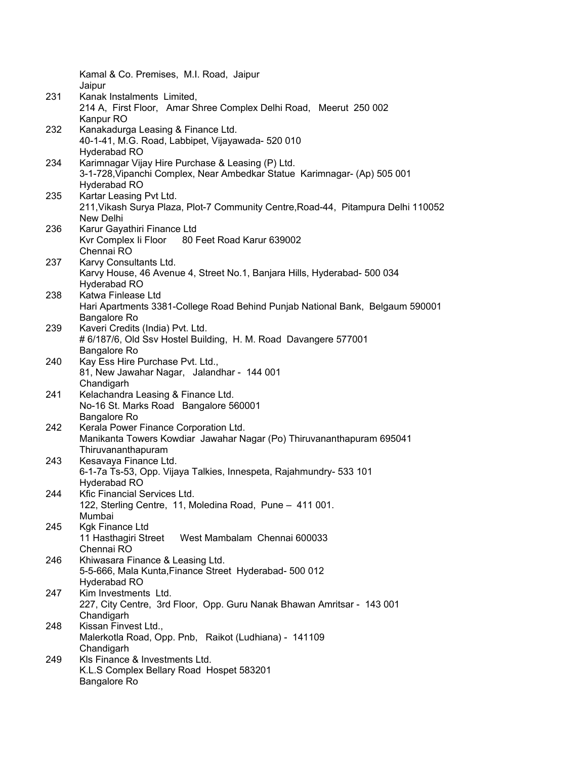|     | Kamal & Co. Premises, M.I. Road, Jaipur<br>Jaipur                                 |
|-----|-----------------------------------------------------------------------------------|
| 231 | Kanak Instalments Limited,                                                        |
|     | 214 A, First Floor, Amar Shree Complex Delhi Road, Meerut 250 002                 |
|     | Kanpur RO                                                                         |
| 232 | Kanakadurga Leasing & Finance Ltd.                                                |
|     | 40-1-41, M.G. Road, Labbipet, Vijayawada- 520 010                                 |
|     |                                                                                   |
|     | Hyderabad RO                                                                      |
| 234 | Karimnagar Vijay Hire Purchase & Leasing (P) Ltd.                                 |
|     | 3-1-728, Vipanchi Complex, Near Ambedkar Statue Karimnagar- (Ap) 505 001          |
|     | Hyderabad RO                                                                      |
| 235 | Kartar Leasing Pvt Ltd.                                                           |
|     | 211, Vikash Surya Plaza, Plot-7 Community Centre, Road-44, Pitampura Delhi 110052 |
|     | New Delhi                                                                         |
| 236 | Karur Gayathiri Finance Ltd                                                       |
|     | Kvr Complex li Floor 80 Feet Road Karur 639002                                    |
|     | Chennai RO                                                                        |
| 237 | Karvy Consultants Ltd.                                                            |
|     | Karvy House, 46 Avenue 4, Street No.1, Banjara Hills, Hyderabad- 500 034          |
|     | Hyderabad RO                                                                      |
| 238 | Katwa Finlease Ltd                                                                |
|     | Hari Apartments 3381-College Road Behind Punjab National Bank, Belgaum 590001     |
|     | Bangalore Ro                                                                      |
| 239 | Kaveri Credits (India) Pvt. Ltd.                                                  |
|     | # 6/187/6, Old Ssv Hostel Building, H. M. Road Davangere 577001                   |
|     | Bangalore Ro                                                                      |
| 240 | Kay Ess Hire Purchase Pvt. Ltd.,                                                  |
|     | 81, New Jawahar Nagar, Jalandhar - 144 001                                        |
|     | Chandigarh                                                                        |
| 241 | Kelachandra Leasing & Finance Ltd.                                                |
|     | No-16 St. Marks Road Bangalore 560001                                             |
|     | Bangalore Ro                                                                      |
| 242 | Kerala Power Finance Corporation Ltd.                                             |
|     | Manikanta Towers Kowdiar Jawahar Nagar (Po) Thiruvananthapuram 695041             |
|     | Thiruvananthapuram                                                                |
| 243 | Kesavaya Finance Ltd.                                                             |
|     | 6-1-7a Ts-53, Opp. Vijaya Talkies, Innespeta, Rajahmundry- 533 101                |
|     | Hyderabad RO                                                                      |
| 244 | Kfic Financial Services Ltd.                                                      |
|     | 122, Sterling Centre, 11, Moledina Road, Pune - 411 001.                          |
|     | Mumbai                                                                            |
| 245 | <b>Kgk Finance Ltd</b>                                                            |
|     | West Mambalam Chennai 600033<br>11 Hasthagiri Street                              |
|     | Chennai RO                                                                        |
| 246 | Khiwasara Finance & Leasing Ltd.                                                  |
|     | 5-5-666, Mala Kunta, Finance Street Hyderabad- 500 012                            |
|     | Hyderabad RO                                                                      |
| 247 | Kim Investments Ltd.                                                              |
|     | 227, City Centre, 3rd Floor, Opp. Guru Nanak Bhawan Amritsar - 143 001            |
|     | Chandigarh                                                                        |
| 248 | Kissan Finvest Ltd.,                                                              |
|     | Malerkotla Road, Opp. Pnb, Raikot (Ludhiana) - 141109                             |
|     | Chandigarh                                                                        |
| 249 | KIs Finance & Investments Ltd.                                                    |
|     | K.L.S Complex Bellary Road Hospet 583201                                          |
|     | Bangalore Ro                                                                      |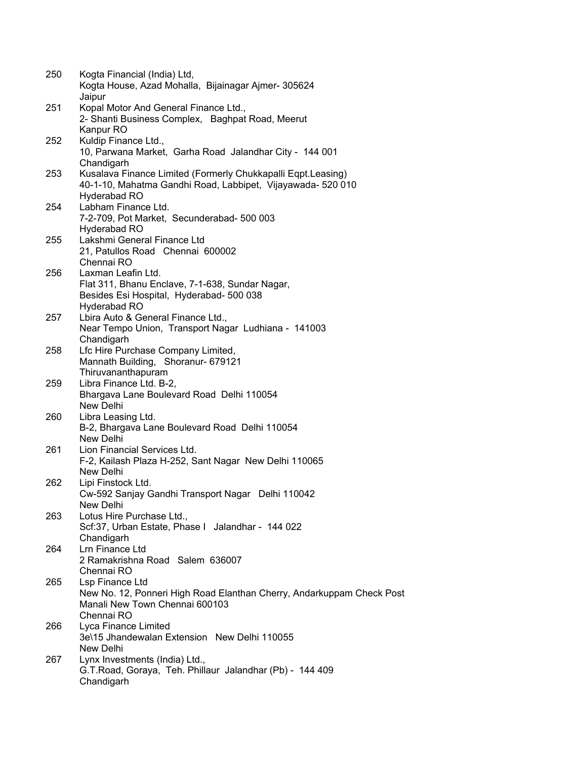| 250 | Kogta Financial (India) Ltd,<br>Kogta House, Azad Mohalla, Bijainagar Ajmer-305624                                          |
|-----|-----------------------------------------------------------------------------------------------------------------------------|
| 251 | Jaipur<br>Kopal Motor And General Finance Ltd.,<br>2- Shanti Business Complex, Baghpat Road, Meerut                         |
|     | Kanpur RO                                                                                                                   |
| 252 | Kuldip Finance Ltd.,                                                                                                        |
|     | 10, Parwana Market, Garha Road Jalandhar City - 144 001                                                                     |
|     | Chandigarh                                                                                                                  |
| 253 | Kusalava Finance Limited (Formerly Chukkapalli Eqpt.Leasing)<br>40-1-10, Mahatma Gandhi Road, Labbipet, Vijayawada- 520 010 |
|     | Hyderabad RO<br>Labham Finance Ltd.                                                                                         |
| 254 | 7-2-709, Pot Market, Secunderabad- 500 003                                                                                  |
|     | Hyderabad RO                                                                                                                |
| 255 | Lakshmi General Finance Ltd                                                                                                 |
|     | 21, Patullos Road Chennai 600002                                                                                            |
|     | Chennai RO                                                                                                                  |
| 256 | Laxman Leafin Ltd.                                                                                                          |
|     | Flat 311, Bhanu Enclave, 7-1-638, Sundar Nagar,                                                                             |
|     | Besides Esi Hospital, Hyderabad- 500 038                                                                                    |
|     | Hyderabad RO                                                                                                                |
| 257 | Lbira Auto & General Finance Ltd.,                                                                                          |
|     | Near Tempo Union, Transport Nagar Ludhiana - 141003                                                                         |
|     | Chandigarh                                                                                                                  |
| 258 | Lfc Hire Purchase Company Limited,                                                                                          |
|     | Mannath Building, Shoranur- 679121                                                                                          |
|     | Thiruvananthapuram                                                                                                          |
| 259 | Libra Finance Ltd. B-2,                                                                                                     |
|     | Bhargava Lane Boulevard Road Delhi 110054                                                                                   |
|     | New Delhi                                                                                                                   |
| 260 | Libra Leasing Ltd.                                                                                                          |
|     | B-2, Bhargava Lane Boulevard Road Delhi 110054                                                                              |
|     | New Delhi                                                                                                                   |
| 261 | Lion Financial Services Ltd.                                                                                                |
|     | F-2, Kailash Plaza H-252, Sant Nagar New Delhi 110065                                                                       |
|     | New Delhi                                                                                                                   |
| 262 | Lipi Finstock Ltd.                                                                                                          |
|     | Cw-592 Sanjay Gandhi Transport Nagar Delhi 110042<br>New Delhi                                                              |
| 263 | Lotus Hire Purchase Ltd.,                                                                                                   |
|     | Scf:37, Urban Estate, Phase I Jalandhar - 144 022                                                                           |
|     | Chandigarh                                                                                                                  |
| 264 | Lrn Finance Ltd                                                                                                             |
|     | 2 Ramakrishna Road Salem 636007                                                                                             |
|     | Chennai RO                                                                                                                  |
| 265 | Lsp Finance Ltd                                                                                                             |
|     | New No. 12, Ponneri High Road Elanthan Cherry, Andarkuppam Check Post                                                       |
|     | Manali New Town Chennai 600103                                                                                              |
|     | Chennai RO                                                                                                                  |
| 266 | Lyca Finance Limited                                                                                                        |
|     | 3e\15 Jhandewalan Extension New Delhi 110055                                                                                |
|     | New Delhi                                                                                                                   |
| 267 | Lynx Investments (India) Ltd.,                                                                                              |
|     | G.T.Road, Goraya, Teh. Phillaur Jalandhar (Pb) - 144 409                                                                    |
|     | Chandigarh                                                                                                                  |
|     |                                                                                                                             |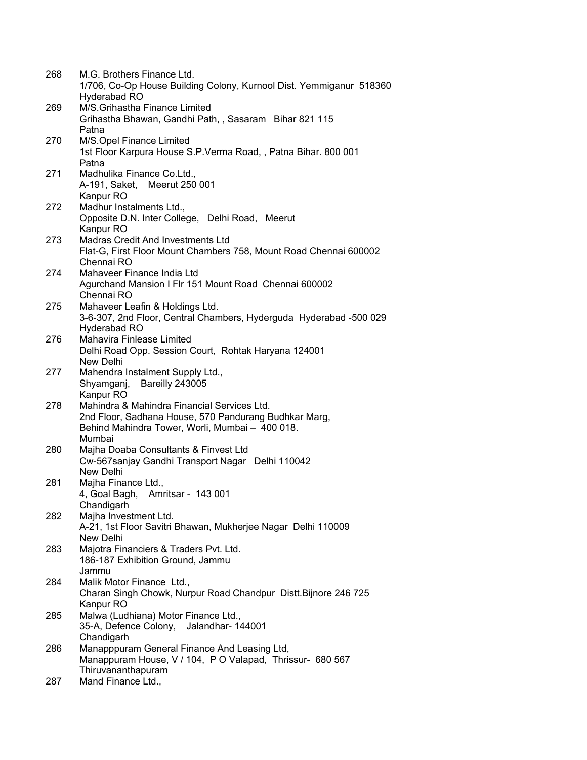| 268 | M.G. Brothers Finance Ltd.<br>1/706, Co-Op House Building Colony, Kurnool Dist. Yemmiganur 518360 |
|-----|---------------------------------------------------------------------------------------------------|
|     | Hyderabad RO                                                                                      |
| 269 | M/S.Grihastha Finance Limited                                                                     |
|     | Grihastha Bhawan, Gandhi Path, , Sasaram Bihar 821 115                                            |
|     | Patna                                                                                             |
| 270 | M/S.Opel Finance Limited                                                                          |
|     | 1st Floor Karpura House S.P. Verma Road, , Patna Bihar. 800 001                                   |
|     | Patna                                                                                             |
| 271 | Madhulika Finance Co.Ltd.,                                                                        |
|     | A-191, Saket, Meerut 250 001                                                                      |
|     | Kanpur RO                                                                                         |
| 272 | Madhur Instalments Ltd.,                                                                          |
|     | Opposite D.N. Inter College, Delhi Road, Meerut                                                   |
|     | Kanpur RO                                                                                         |
| 273 | Madras Credit And Investments Ltd                                                                 |
|     | Flat-G, First Floor Mount Chambers 758, Mount Road Chennai 600002                                 |
|     | Chennai RO                                                                                        |
| 274 | Mahaveer Finance India Ltd                                                                        |
|     | Agurchand Mansion I Flr 151 Mount Road Chennai 600002                                             |
|     | Chennai RO                                                                                        |
| 275 | Mahaveer Leafin & Holdings Ltd.                                                                   |
|     | 3-6-307, 2nd Floor, Central Chambers, Hyderguda Hyderabad -500 029                                |
|     | Hyderabad RO                                                                                      |
| 276 | Mahavira Finlease Limited                                                                         |
|     | Delhi Road Opp. Session Court, Rohtak Haryana 124001                                              |
|     | New Delhi                                                                                         |
| 277 | Mahendra Instalment Supply Ltd.,                                                                  |
|     | Shyamganj, Bareilly 243005                                                                        |
|     | Kanpur RO                                                                                         |
| 278 | Mahindra & Mahindra Financial Services Ltd.                                                       |
|     | 2nd Floor, Sadhana House, 570 Pandurang Budhkar Marg,                                             |
|     | Behind Mahindra Tower, Worli, Mumbai - 400 018.                                                   |
|     | Mumbai                                                                                            |
| 280 | Majha Doaba Consultants & Finvest Ltd                                                             |
|     | Cw-567sanjay Gandhi Transport Nagar Delhi 110042                                                  |
|     | New Delhi                                                                                         |
| 281 | Majha Finance Ltd.,                                                                               |
|     | 4, Goal Bagh, Amritsar - 143 001<br>Chandigarh                                                    |
| 282 | Majha Investment Ltd.                                                                             |
|     | A-21, 1st Floor Savitri Bhawan, Mukherjee Nagar Delhi 110009                                      |
|     | New Delhi                                                                                         |
| 283 | Majotra Financiers & Traders Pvt. Ltd.                                                            |
|     | 186-187 Exhibition Ground, Jammu                                                                  |
|     | Jammu                                                                                             |
| 284 | Malik Motor Finance Ltd.,                                                                         |
|     | Charan Singh Chowk, Nurpur Road Chandpur Distt. Bijnore 246 725                                   |
|     | Kanpur RO                                                                                         |
| 285 | Malwa (Ludhiana) Motor Finance Ltd.,                                                              |
|     | 35-A, Defence Colony, Jalandhar- 144001                                                           |
|     | Chandigarh                                                                                        |
| 286 | Manapppuram General Finance And Leasing Ltd,                                                      |
|     | Manappuram House, V / 104, P O Valapad, Thrissur- 680 567                                         |
|     | Thiruvananthapuram                                                                                |
| 287 | Mand Finance Ltd.,                                                                                |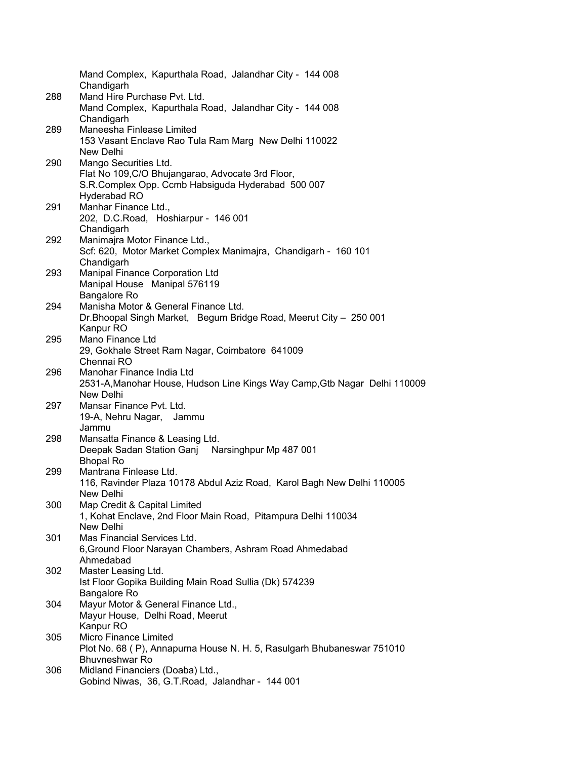|     | Mand Complex, Kapurthala Road, Jalandhar City - 144 008<br>Chandigarh                                  |
|-----|--------------------------------------------------------------------------------------------------------|
| 288 | Mand Hire Purchase Pvt. Ltd.                                                                           |
|     | Mand Complex, Kapurthala Road, Jalandhar City - 144 008<br>Chandigarh                                  |
| 289 | Maneesha Finlease Limited                                                                              |
|     | 153 Vasant Enclave Rao Tula Ram Marg New Delhi 110022                                                  |
|     | New Delhi                                                                                              |
| 290 | Mango Securities Ltd.                                                                                  |
|     | Flat No 109, C/O Bhujangarao, Advocate 3rd Floor,                                                      |
|     | S.R.Complex Opp. Ccmb Habsiguda Hyderabad 500 007                                                      |
|     | Hyderabad RO                                                                                           |
| 291 | Manhar Finance Ltd.,                                                                                   |
|     | 202, D.C.Road, Hoshiarpur - 146 001                                                                    |
|     | Chandigarh                                                                                             |
| 292 | Manimajra Motor Finance Ltd.,                                                                          |
|     | Scf: 620, Motor Market Complex Manimajra, Chandigarh - 160 101                                         |
|     | Chandigarh                                                                                             |
| 293 | Manipal Finance Corporation Ltd                                                                        |
|     | Manipal House Manipal 576119                                                                           |
|     | <b>Bangalore Ro</b>                                                                                    |
| 294 | Manisha Motor & General Finance Ltd.                                                                   |
|     | Dr. Bhoopal Singh Market, Begum Bridge Road, Meerut City - 250 001                                     |
|     | Kanpur RO                                                                                              |
| 295 | Mano Finance Ltd                                                                                       |
|     | 29, Gokhale Street Ram Nagar, Coimbatore 641009                                                        |
|     | Chennai RO                                                                                             |
| 296 | Manohar Finance India Ltd<br>2531-A, Manohar House, Hudson Line Kings Way Camp, Gtb Nagar Delhi 110009 |
|     | New Delhi                                                                                              |
| 297 | Mansar Finance Pvt. Ltd.                                                                               |
|     | 19-A, Nehru Nagar, Jammu                                                                               |
|     | Jammu                                                                                                  |
| 298 | Mansatta Finance & Leasing Ltd.                                                                        |
|     | Deepak Sadan Station Ganj Narsinghpur Mp 487 001                                                       |
|     | <b>Bhopal Ro</b>                                                                                       |
| 299 | Mantrana Finlease Ltd.                                                                                 |
|     | 116, Ravinder Plaza 10178 Abdul Aziz Road, Karol Bagh New Delhi 110005                                 |
|     | New Delhi                                                                                              |
| 300 | Map Credit & Capital Limited                                                                           |
|     | 1, Kohat Enclave, 2nd Floor Main Road, Pitampura Delhi 110034                                          |
|     | New Delhi                                                                                              |
| 301 | Mas Financial Services Ltd.                                                                            |
|     | 6, Ground Floor Narayan Chambers, Ashram Road Ahmedabad                                                |
|     | Ahmedabad                                                                                              |
| 302 | Master Leasing Ltd.<br>Ist Floor Gopika Building Main Road Sullia (Dk) 574239                          |
|     | <b>Bangalore Ro</b>                                                                                    |
| 304 | Mayur Motor & General Finance Ltd.,                                                                    |
|     | Mayur House, Delhi Road, Meerut                                                                        |
|     | Kanpur RO                                                                                              |
| 305 | Micro Finance Limited                                                                                  |
|     | Plot No. 68 (P), Annapurna House N. H. 5, Rasulgarh Bhubaneswar 751010                                 |
|     | Bhuvneshwar Ro                                                                                         |
| 306 | Midland Financiers (Doaba) Ltd.,                                                                       |
|     | Gobind Niwas, 36, G.T.Road, Jalandhar - 144 001                                                        |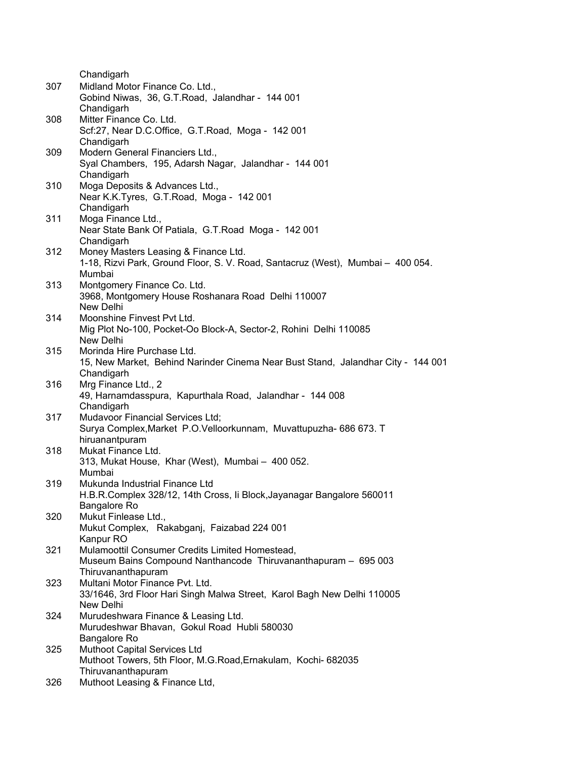|     | Chandigarh                                                                                     |
|-----|------------------------------------------------------------------------------------------------|
|     | Midland Motor Finance Co. Ltd.,                                                                |
| 307 | Gobind Niwas, 36, G.T.Road, Jalandhar - 144 001                                                |
|     |                                                                                                |
|     | Chandigarh                                                                                     |
| 308 | Mitter Finance Co. Ltd.                                                                        |
|     | Scf:27, Near D.C.Office, G.T.Road, Moga - 142 001                                              |
|     | Chandigarh                                                                                     |
| 309 | Modern General Financiers Ltd.,                                                                |
|     | Syal Chambers, 195, Adarsh Nagar, Jalandhar - 144 001                                          |
|     | Chandigarh                                                                                     |
| 310 | Moga Deposits & Advances Ltd.,                                                                 |
|     | Near K.K.Tyres, G.T.Road, Moga - 142 001                                                       |
|     | Chandigarh                                                                                     |
| 311 | Moga Finance Ltd.,                                                                             |
|     | Near State Bank Of Patiala, G.T.Road Moga - 142 001                                            |
|     | Chandigarh                                                                                     |
| 312 | Money Masters Leasing & Finance Ltd.                                                           |
|     | 1-18, Rizvi Park, Ground Floor, S. V. Road, Santacruz (West), Mumbai - 400 054.                |
|     | Mumbai                                                                                         |
| 313 | Montgomery Finance Co. Ltd.                                                                    |
|     | 3968, Montgomery House Roshanara Road Delhi 110007                                             |
|     | New Delhi                                                                                      |
| 314 | Moonshine Finvest Pvt Ltd.                                                                     |
|     | Mig Plot No-100, Pocket-Oo Block-A, Sector-2, Rohini Delhi 110085<br>New Delhi                 |
| 315 | Morinda Hire Purchase Ltd.                                                                     |
|     |                                                                                                |
|     | 15, New Market, Behind Narinder Cinema Near Bust Stand, Jalandhar City - 144 001<br>Chandigarh |
| 316 | Mrg Finance Ltd., 2                                                                            |
|     | 49, Harnamdasspura, Kapurthala Road, Jalandhar - 144 008                                       |
|     | Chandigarh                                                                                     |
| 317 | Mudavoor Financial Services Ltd;                                                               |
|     | Surya Complex, Market P.O. Velloorkunnam, Muvattupuzha- 686 673. T                             |
|     | hiruanantpuram                                                                                 |
| 318 | Mukat Finance Ltd.                                                                             |
|     | 313, Mukat House, Khar (West), Mumbai - 400 052.                                               |
|     | Mumbai                                                                                         |
| 319 | Mukunda Industrial Finance Ltd                                                                 |
|     | H.B.R.Complex 328/12, 14th Cross, Ii Block, Jayanagar Bangalore 560011                         |
|     | Bangalore Ro                                                                                   |
| 320 | Mukut Finlease Ltd.,                                                                           |
|     | Mukut Complex, Rakabganj, Faizabad 224 001                                                     |
|     | Kanpur RO                                                                                      |
| 321 | Mulamoottil Consumer Credits Limited Homestead,                                                |
|     | Museum Bains Compound Nanthancode Thiruvananthapuram - 695 003                                 |
|     | Thiruvananthapuram                                                                             |
| 323 | Multani Motor Finance Pvt. Ltd.                                                                |
|     | 33/1646, 3rd Floor Hari Singh Malwa Street, Karol Bagh New Delhi 110005                        |
|     | New Delhi                                                                                      |
| 324 | Murudeshwara Finance & Leasing Ltd.                                                            |
|     | Murudeshwar Bhavan, Gokul Road Hubli 580030                                                    |
|     | Bangalore Ro                                                                                   |
| 325 | Muthoot Capital Services Ltd                                                                   |
|     | Muthoot Towers, 5th Floor, M.G.Road, Ernakulam, Kochi- 682035                                  |
|     | Thiruvananthapuram                                                                             |
| 326 | Muthoot Leasing & Finance Ltd,                                                                 |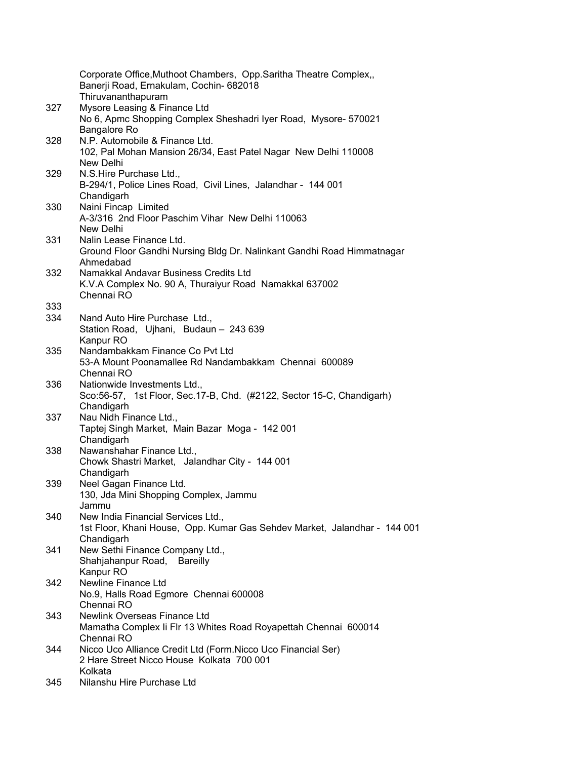|     | Corporate Office, Muthoot Chambers, Opp. Saritha Theatre Complex,,<br>Banerji Road, Ernakulam, Cochin- 682018 |
|-----|---------------------------------------------------------------------------------------------------------------|
|     | Thiruvananthapuram                                                                                            |
| 327 | Mysore Leasing & Finance Ltd<br>No 6, Apmc Shopping Complex Sheshadri Iyer Road, Mysore- 570021               |
|     | Bangalore Ro<br>N.P. Automobile & Finance Ltd.                                                                |
| 328 | 102, Pal Mohan Mansion 26/34, East Patel Nagar New Delhi 110008<br>New Delhi                                  |
| 329 | N.S.Hire Purchase Ltd.,                                                                                       |
|     | B-294/1, Police Lines Road, Civil Lines, Jalandhar - 144 001<br>Chandigarh                                    |
| 330 | Naini Fincap Limited                                                                                          |
|     | A-3/316 2nd Floor Paschim Vihar New Delhi 110063<br>New Delhi                                                 |
| 331 | Nalin Lease Finance Ltd.                                                                                      |
|     | Ground Floor Gandhi Nursing Bldg Dr. Nalinkant Gandhi Road Himmatnagar<br>Ahmedabad                           |
| 332 | Namakkal Andavar Business Credits Ltd                                                                         |
|     | K.V.A Complex No. 90 A, Thuraiyur Road Namakkal 637002                                                        |
|     | Chennai RO                                                                                                    |
| 333 |                                                                                                               |
| 334 | Nand Auto Hire Purchase Ltd.,<br>Station Road, Ujhani, Budaun - 243 639<br>Kanpur RO                          |
| 335 | Nandambakkam Finance Co Pvt Ltd                                                                               |
|     | 53-A Mount Poonamallee Rd Nandambakkam Chennai 600089                                                         |
|     | Chennai RO                                                                                                    |
| 336 | Nationwide Investments Ltd.,                                                                                  |
|     | Sco:56-57, 1st Floor, Sec.17-B, Chd. (#2122, Sector 15-C, Chandigarh)<br>Chandigarh                           |
| 337 | Nau Nidh Finance Ltd.,                                                                                        |
|     | Taptej Singh Market, Main Bazar Moga - 142 001<br>Chandigarh                                                  |
| 338 | Nawanshahar Finance Ltd.,                                                                                     |
|     | Chowk Shastri Market, Jalandhar City - 144 001                                                                |
|     | Chandigarh                                                                                                    |
| 339 | Neel Gagan Finance Ltd.                                                                                       |
|     | 130, Jda Mini Shopping Complex, Jammu<br>Jammu                                                                |
| 340 | New India Financial Services Ltd.,                                                                            |
|     | 1st Floor, Khani House, Opp. Kumar Gas Sehdev Market, Jalandhar - 144 001                                     |
|     | Chandigarh                                                                                                    |
| 341 | New Sethi Finance Company Ltd.,                                                                               |
|     | Shahjahanpur Road, Bareilly                                                                                   |
|     | Kanpur RO                                                                                                     |
| 342 | Newline Finance Ltd                                                                                           |
|     | No.9, Halls Road Egmore Chennai 600008<br>Chennai RO                                                          |
| 343 | Newlink Overseas Finance Ltd                                                                                  |
|     | Mamatha Complex Ii Flr 13 Whites Road Royapettah Chennai 600014<br>Chennai RO                                 |
| 344 | Nicco Uco Alliance Credit Ltd (Form.Nicco Uco Financial Ser)                                                  |
|     | 2 Hare Street Nicco House Kolkata 700 001<br>Kolkata                                                          |
| 345 | Nilanshu Hire Purchase Ltd                                                                                    |
|     |                                                                                                               |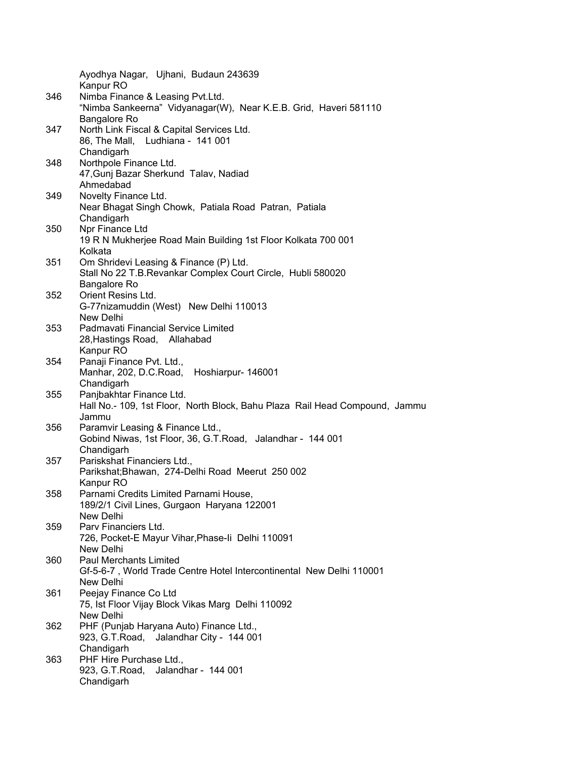|     | Ayodhya Nagar, Ujhani, Budaun 243639                                        |
|-----|-----------------------------------------------------------------------------|
|     | Kanpur RO                                                                   |
| 346 | Nimba Finance & Leasing Pvt.Ltd.                                            |
|     | "Nimba Sankeerna" Vidyanagar(W), Near K.E.B. Grid, Haveri 581110            |
|     | Bangalore Ro                                                                |
| 347 | North Link Fiscal & Capital Services Ltd.                                   |
|     | 86, The Mall, Ludhiana - 141 001                                            |
|     | Chandigarh                                                                  |
| 348 | Northpole Finance Ltd.                                                      |
|     | 47, Gunj Bazar Sherkund Talav, Nadiad<br>Ahmedabad                          |
| 349 | Novelty Finance Ltd.                                                        |
|     | Near Bhagat Singh Chowk, Patiala Road Patran, Patiala                       |
|     | Chandigarh                                                                  |
| 350 | Npr Finance Ltd                                                             |
|     | 19 R N Mukherjee Road Main Building 1st Floor Kolkata 700 001               |
|     | Kolkata                                                                     |
| 351 | Om Shridevi Leasing & Finance (P) Ltd.                                      |
|     | Stall No 22 T.B. Revankar Complex Court Circle, Hubli 580020                |
|     | Bangalore Ro                                                                |
| 352 | Orient Resins Ltd.                                                          |
|     | G-77nizamuddin (West) New Delhi 110013                                      |
|     | New Delhi                                                                   |
| 353 | Padmavati Financial Service Limited                                         |
|     | 28, Hastings Road, Allahabad                                                |
|     | Kanpur RO                                                                   |
| 354 | Panaji Finance Pvt. Ltd.,                                                   |
|     | Manhar, 202, D.C.Road, Hoshiarpur- 146001                                   |
| 355 | Chandigarh<br>Panjbakhtar Finance Ltd.                                      |
|     | Hall No.- 109, 1st Floor, North Block, Bahu Plaza Rail Head Compound, Jammu |
|     | Jammu                                                                       |
| 356 | Paramvir Leasing & Finance Ltd.,                                            |
|     | Gobind Niwas, 1st Floor, 36, G.T.Road, Jalandhar - 144 001                  |
|     | Chandigarh                                                                  |
| 357 | Pariskshat Financiers Ltd.,                                                 |
|     | Parikshat; Bhawan, 274-Delhi Road Meerut 250 002                            |
|     | Kanpur RO                                                                   |
| 358 | Parnami Credits Limited Parnami House,                                      |
|     | 189/2/1 Civil Lines, Gurgaon Haryana 122001                                 |
|     | New Delhi                                                                   |
| 359 | Parv Financiers Ltd.                                                        |
|     | 726, Pocket-E Mayur Vihar, Phase-li Delhi 110091                            |
|     | New Delhi<br><b>Paul Merchants Limited</b>                                  |
| 360 | Gf-5-6-7, World Trade Centre Hotel Intercontinental New Delhi 110001        |
|     | New Delhi                                                                   |
| 361 | Peejay Finance Co Ltd                                                       |
|     | 75, Ist Floor Vijay Block Vikas Marg Delhi 110092                           |
|     | New Delhi                                                                   |
| 362 | PHF (Punjab Haryana Auto) Finance Ltd.,                                     |
|     | 923, G.T.Road, Jalandhar City - 144 001                                     |
|     | Chandigarh                                                                  |
| 363 | PHF Hire Purchase Ltd.,                                                     |
|     | Jalandhar - 144 001<br>923, G.T.Road,                                       |
|     | Chandigarh                                                                  |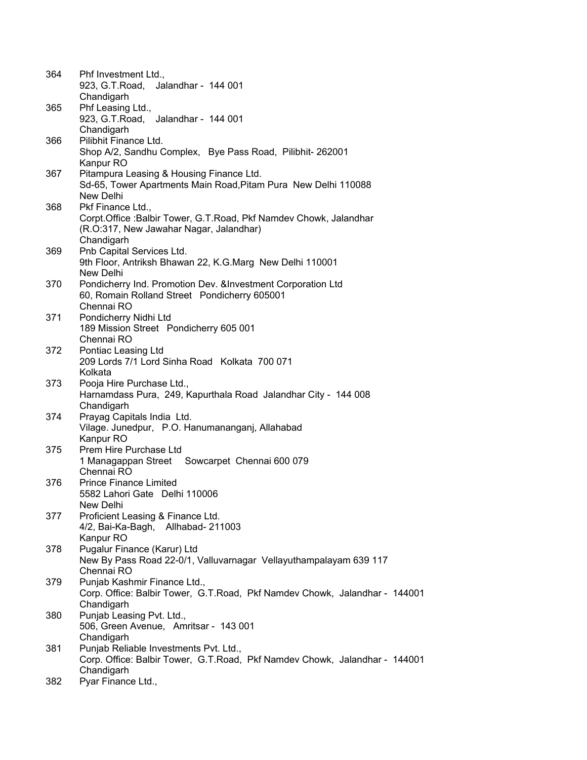| 364  | Phf Investment Ltd.,                                                       |
|------|----------------------------------------------------------------------------|
|      | 923, G.T.Road,<br>Jalandhar - 144 001                                      |
|      | Chandigarh                                                                 |
| 365  | Phf Leasing Ltd.,                                                          |
|      | 923, G.T.Road, Jalandhar - 144 001                                         |
|      | Chandigarh                                                                 |
| 366  | Pilibhit Finance Ltd.                                                      |
|      | Shop A/2, Sandhu Complex, Bye Pass Road, Pilibhit-262001                   |
|      | Kanpur RO                                                                  |
|      | Pitampura Leasing & Housing Finance Ltd.                                   |
| 367  | Sd-65, Tower Apartments Main Road, Pitam Pura New Delhi 110088             |
|      | New Delhi                                                                  |
|      |                                                                            |
| 368  | Pkf Finance Ltd.,                                                          |
|      | Corpt. Office: Balbir Tower, G.T. Road, Pkf Namdev Chowk, Jalandhar        |
|      | (R.O:317, New Jawahar Nagar, Jalandhar)                                    |
|      | Chandigarh                                                                 |
| 369  | Pnb Capital Services Ltd.                                                  |
|      | 9th Floor, Antriksh Bhawan 22, K.G.Marg New Delhi 110001                   |
|      | New Delhi                                                                  |
| 370. | Pondicherry Ind. Promotion Dev. & Investment Corporation Ltd               |
|      | 60, Romain Rolland Street Pondicherry 605001                               |
|      | Chennai RO                                                                 |
| 371  | Pondicherry Nidhi Ltd                                                      |
|      | 189 Mission Street Pondicherry 605 001                                     |
|      | Chennai RO                                                                 |
| 372  | Pontiac Leasing Ltd                                                        |
|      | 209 Lords 7/1 Lord Sinha Road Kolkata 700 071                              |
|      | Kolkata                                                                    |
| 373  | Pooja Hire Purchase Ltd.,                                                  |
|      | Harnamdass Pura, 249, Kapurthala Road Jalandhar City - 144 008             |
|      | Chandigarh                                                                 |
| 374  | Prayag Capitals India Ltd.                                                 |
|      | Vilage. Junedpur, P.O. Hanumananganj, Allahabad                            |
|      | Kanpur RO                                                                  |
| 375  | Prem Hire Purchase Ltd                                                     |
|      | 1 Managappan Street Sowcarpet Chennai 600 079                              |
|      | Chennai RO                                                                 |
| 376  | <b>Prince Finance Limited</b>                                              |
|      | 5582 Lahori Gate Delhi 110006                                              |
|      | New Delhi                                                                  |
| 377  | Proficient Leasing & Finance Ltd.                                          |
|      | 4/2, Bai-Ka-Bagh, Allhabad- 211003                                         |
|      | Kanpur RO                                                                  |
|      |                                                                            |
| 378  | Pugalur Finance (Karur) Ltd                                                |
|      | New By Pass Road 22-0/1, Valluvarnagar Vellayuthampalayam 639 117          |
|      | Chennai RO                                                                 |
| 379  | Punjab Kashmir Finance Ltd.,                                               |
|      | Corp. Office: Balbir Tower, G.T.Road, Pkf Namdev Chowk, Jalandhar - 144001 |
|      | Chandigarh                                                                 |
| 380  | Punjab Leasing Pvt. Ltd.,                                                  |
|      | 506, Green Avenue, Amritsar - 143 001                                      |
|      | Chandigarh                                                                 |
| 381  | Punjab Reliable Investments Pvt. Ltd.,                                     |
|      | Corp. Office: Balbir Tower, G.T.Road, Pkf Namdev Chowk, Jalandhar - 144001 |
|      | Chandigarh                                                                 |
| 382  | Pyar Finance Ltd.,                                                         |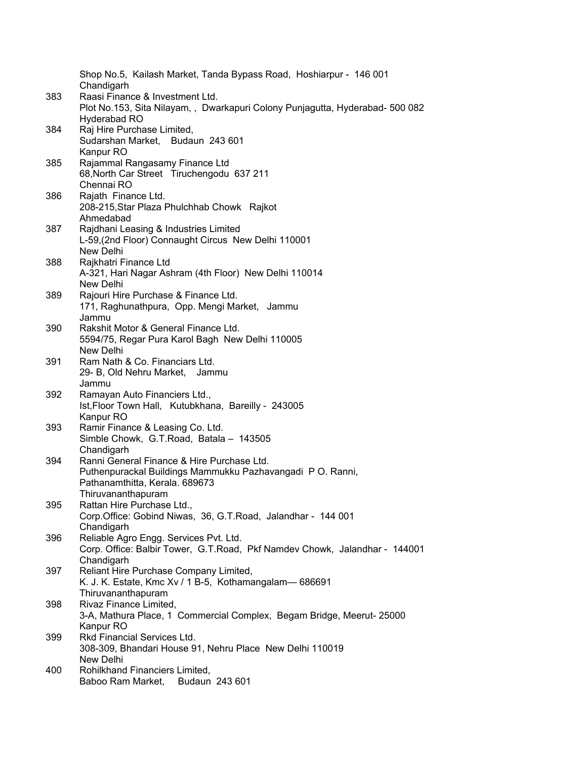|     | Shop No.5, Kailash Market, Tanda Bypass Road, Hoshiarpur - 146 001<br>Chandigarh                               |
|-----|----------------------------------------------------------------------------------------------------------------|
| 383 | Raasi Finance & Investment Ltd.<br>Plot No.153, Sita Nilayam,, Dwarkapuri Colony Punjagutta, Hyderabad-500 082 |
|     | Hyderabad RO                                                                                                   |
| 384 | Raj Hire Purchase Limited,                                                                                     |
|     | Sudarshan Market, Budaun 243 601                                                                               |
|     | Kanpur RO                                                                                                      |
| 385 | Rajammal Rangasamy Finance Ltd                                                                                 |
|     | 68, North Car Street Tiruchengodu 637 211                                                                      |
|     | Chennai RO                                                                                                     |
| 386 | Rajath Finance Ltd.                                                                                            |
|     | 208-215, Star Plaza Phulchhab Chowk Rajkot                                                                     |
|     | Ahmedabad                                                                                                      |
| 387 | Rajdhani Leasing & Industries Limited                                                                          |
|     | L-59, (2nd Floor) Connaught Circus New Delhi 110001<br>New Delhi                                               |
| 388 | Rajkhatri Finance Ltd                                                                                          |
|     | A-321, Hari Nagar Ashram (4th Floor) New Delhi 110014                                                          |
|     | New Delhi                                                                                                      |
| 389 | Rajouri Hire Purchase & Finance Ltd.                                                                           |
|     | 171, Raghunathpura, Opp. Mengi Market, Jammu                                                                   |
|     | Jammu                                                                                                          |
| 390 | Rakshit Motor & General Finance Ltd.                                                                           |
|     | 5594/75, Regar Pura Karol Bagh New Delhi 110005                                                                |
|     | New Delhi                                                                                                      |
| 391 | Ram Nath & Co. Financiars Ltd.                                                                                 |
|     | 29- B, Old Nehru Market, Jammu                                                                                 |
| 392 | Jammu<br>Ramayan Auto Financiers Ltd.,                                                                         |
|     | Ist, Floor Town Hall, Kutubkhana, Bareilly - 243005                                                            |
|     | Kanpur RO                                                                                                      |
| 393 | Ramir Finance & Leasing Co. Ltd.                                                                               |
|     | Simble Chowk, G.T.Road, Batala - 143505                                                                        |
|     | Chandigarh                                                                                                     |
| 394 | Ranni General Finance & Hire Purchase Ltd.                                                                     |
|     | Puthenpurackal Buildings Mammukku Pazhavangadi PO. Ranni,                                                      |
|     | Pathanamthitta, Kerala. 689673                                                                                 |
|     | Thiruvananthapuram                                                                                             |
| 395 | Rattan Hire Purchase Ltd.,<br>Corp.Office: Gobind Niwas, 36, G.T.Road, Jalandhar - 144 001                     |
|     | Chandigarh                                                                                                     |
| 396 | Reliable Agro Engg. Services Pvt. Ltd.                                                                         |
|     | Corp. Office: Balbir Tower, G.T.Road, Pkf Namdev Chowk, Jalandhar - 144001                                     |
|     | Chandigarh                                                                                                     |
| 397 | Reliant Hire Purchase Company Limited,                                                                         |
|     | K. J. K. Estate, Kmc Xv / 1 B-5, Kothamangalam-686691                                                          |
|     | Thiruvananthapuram                                                                                             |
| 398 | Rivaz Finance Limited,                                                                                         |
|     | 3-A, Mathura Place, 1 Commercial Complex, Begam Bridge, Meerut-25000                                           |
|     | Kanpur RO                                                                                                      |
| 399 | Rkd Financial Services Ltd.                                                                                    |
|     | 308-309, Bhandari House 91, Nehru Place New Delhi 110019<br>New Delhi                                          |
| 400 | Rohilkhand Financiers Limited,                                                                                 |
|     | Baboo Ram Market,<br>Budaun 243 601                                                                            |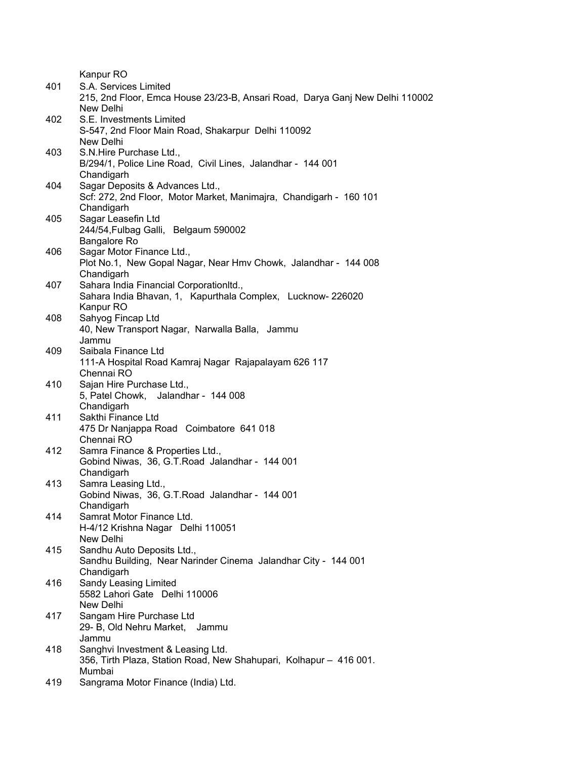Kanpur RO

| S.E. Investments Limited<br>402<br>S-547, 2nd Floor Main Road, Shakarpur Delhi 110092<br>New Delhi<br>S.N.Hire Purchase Ltd.,<br>403<br>B/294/1, Police Line Road, Civil Lines, Jalandhar - 144 001<br>Chandigarh<br>Sagar Deposits & Advances Ltd.,<br>404<br>Scf: 272, 2nd Floor, Motor Market, Manimajra, Chandigarh - 160 101<br>Chandigarh<br>Sagar Leasefin Ltd<br>405<br>244/54, Fulbag Galli, Belgaum 590002<br>Bangalore Ro<br>Sagar Motor Finance Ltd.,<br>406<br>Plot No.1, New Gopal Nagar, Near Hmv Chowk, Jalandhar - 144 008<br>Chandigarh<br>Sahara India Financial CorporationItd.,<br>407<br>Sahara India Bhavan, 1, Kapurthala Complex, Lucknow-226020<br>Kanpur RO<br>Sahyog Fincap Ltd<br>408<br>40, New Transport Nagar, Narwalla Balla, Jammu<br>Jammu<br>Saibala Finance Ltd<br>409<br>111-A Hospital Road Kamraj Nagar Rajapalayam 626 117<br>Chennai RO<br>410<br>Sajan Hire Purchase Ltd.,<br>5, Patel Chowk, Jalandhar - 144 008<br>Chandigarh<br>Sakthi Finance Ltd<br>411<br>475 Dr Nanjappa Road Coimbatore 641 018<br>Chennai RO<br>412<br>Samra Finance & Properties Ltd.,<br>Gobind Niwas, 36, G.T. Road Jalandhar - 144 001<br>Chandigarh<br>Samra Leasing Ltd.,<br>413<br>Gobind Niwas, 36, G.T. Road Jalandhar - 144 001<br>Chandigarh<br>414<br>Samrat Motor Finance Ltd.<br>H-4/12 Krishna Nagar Delhi 110051<br>New Delhi<br>415<br>Sandhu Auto Deposits Ltd.,<br>Sandhu Building, Near Narinder Cinema Jalandhar City - 144 001<br>Chandigarh<br>Sandy Leasing Limited<br>416<br>5582 Lahori Gate Delhi 110006<br>New Delhi<br>Sangam Hire Purchase Ltd<br>417<br>29- B, Old Nehru Market, Jammu<br>Jammu<br>Sanghvi Investment & Leasing Ltd.<br>418<br>356, Tirth Plaza, Station Road, New Shahupari, Kolhapur - 416 001.<br>Mumbai<br>Sangrama Motor Finance (India) Ltd.<br>419 | 401 | S.A. Services Limited<br>215, 2nd Floor, Emca House 23/23-B, Ansari Road, Darya Ganj New Delhi 110002<br>New Delhi |
|------------------------------------------------------------------------------------------------------------------------------------------------------------------------------------------------------------------------------------------------------------------------------------------------------------------------------------------------------------------------------------------------------------------------------------------------------------------------------------------------------------------------------------------------------------------------------------------------------------------------------------------------------------------------------------------------------------------------------------------------------------------------------------------------------------------------------------------------------------------------------------------------------------------------------------------------------------------------------------------------------------------------------------------------------------------------------------------------------------------------------------------------------------------------------------------------------------------------------------------------------------------------------------------------------------------------------------------------------------------------------------------------------------------------------------------------------------------------------------------------------------------------------------------------------------------------------------------------------------------------------------------------------------------------------------------------------------------------------------------------------------------------------------------------------------------------------|-----|--------------------------------------------------------------------------------------------------------------------|
|                                                                                                                                                                                                                                                                                                                                                                                                                                                                                                                                                                                                                                                                                                                                                                                                                                                                                                                                                                                                                                                                                                                                                                                                                                                                                                                                                                                                                                                                                                                                                                                                                                                                                                                                                                                                                              |     |                                                                                                                    |
|                                                                                                                                                                                                                                                                                                                                                                                                                                                                                                                                                                                                                                                                                                                                                                                                                                                                                                                                                                                                                                                                                                                                                                                                                                                                                                                                                                                                                                                                                                                                                                                                                                                                                                                                                                                                                              |     |                                                                                                                    |
|                                                                                                                                                                                                                                                                                                                                                                                                                                                                                                                                                                                                                                                                                                                                                                                                                                                                                                                                                                                                                                                                                                                                                                                                                                                                                                                                                                                                                                                                                                                                                                                                                                                                                                                                                                                                                              |     |                                                                                                                    |
|                                                                                                                                                                                                                                                                                                                                                                                                                                                                                                                                                                                                                                                                                                                                                                                                                                                                                                                                                                                                                                                                                                                                                                                                                                                                                                                                                                                                                                                                                                                                                                                                                                                                                                                                                                                                                              |     |                                                                                                                    |
|                                                                                                                                                                                                                                                                                                                                                                                                                                                                                                                                                                                                                                                                                                                                                                                                                                                                                                                                                                                                                                                                                                                                                                                                                                                                                                                                                                                                                                                                                                                                                                                                                                                                                                                                                                                                                              |     |                                                                                                                    |
|                                                                                                                                                                                                                                                                                                                                                                                                                                                                                                                                                                                                                                                                                                                                                                                                                                                                                                                                                                                                                                                                                                                                                                                                                                                                                                                                                                                                                                                                                                                                                                                                                                                                                                                                                                                                                              |     |                                                                                                                    |
|                                                                                                                                                                                                                                                                                                                                                                                                                                                                                                                                                                                                                                                                                                                                                                                                                                                                                                                                                                                                                                                                                                                                                                                                                                                                                                                                                                                                                                                                                                                                                                                                                                                                                                                                                                                                                              |     |                                                                                                                    |
|                                                                                                                                                                                                                                                                                                                                                                                                                                                                                                                                                                                                                                                                                                                                                                                                                                                                                                                                                                                                                                                                                                                                                                                                                                                                                                                                                                                                                                                                                                                                                                                                                                                                                                                                                                                                                              |     |                                                                                                                    |
|                                                                                                                                                                                                                                                                                                                                                                                                                                                                                                                                                                                                                                                                                                                                                                                                                                                                                                                                                                                                                                                                                                                                                                                                                                                                                                                                                                                                                                                                                                                                                                                                                                                                                                                                                                                                                              |     |                                                                                                                    |
|                                                                                                                                                                                                                                                                                                                                                                                                                                                                                                                                                                                                                                                                                                                                                                                                                                                                                                                                                                                                                                                                                                                                                                                                                                                                                                                                                                                                                                                                                                                                                                                                                                                                                                                                                                                                                              |     |                                                                                                                    |
|                                                                                                                                                                                                                                                                                                                                                                                                                                                                                                                                                                                                                                                                                                                                                                                                                                                                                                                                                                                                                                                                                                                                                                                                                                                                                                                                                                                                                                                                                                                                                                                                                                                                                                                                                                                                                              |     |                                                                                                                    |
|                                                                                                                                                                                                                                                                                                                                                                                                                                                                                                                                                                                                                                                                                                                                                                                                                                                                                                                                                                                                                                                                                                                                                                                                                                                                                                                                                                                                                                                                                                                                                                                                                                                                                                                                                                                                                              |     |                                                                                                                    |
|                                                                                                                                                                                                                                                                                                                                                                                                                                                                                                                                                                                                                                                                                                                                                                                                                                                                                                                                                                                                                                                                                                                                                                                                                                                                                                                                                                                                                                                                                                                                                                                                                                                                                                                                                                                                                              |     |                                                                                                                    |
|                                                                                                                                                                                                                                                                                                                                                                                                                                                                                                                                                                                                                                                                                                                                                                                                                                                                                                                                                                                                                                                                                                                                                                                                                                                                                                                                                                                                                                                                                                                                                                                                                                                                                                                                                                                                                              |     |                                                                                                                    |
|                                                                                                                                                                                                                                                                                                                                                                                                                                                                                                                                                                                                                                                                                                                                                                                                                                                                                                                                                                                                                                                                                                                                                                                                                                                                                                                                                                                                                                                                                                                                                                                                                                                                                                                                                                                                                              |     |                                                                                                                    |
|                                                                                                                                                                                                                                                                                                                                                                                                                                                                                                                                                                                                                                                                                                                                                                                                                                                                                                                                                                                                                                                                                                                                                                                                                                                                                                                                                                                                                                                                                                                                                                                                                                                                                                                                                                                                                              |     |                                                                                                                    |
|                                                                                                                                                                                                                                                                                                                                                                                                                                                                                                                                                                                                                                                                                                                                                                                                                                                                                                                                                                                                                                                                                                                                                                                                                                                                                                                                                                                                                                                                                                                                                                                                                                                                                                                                                                                                                              |     |                                                                                                                    |
|                                                                                                                                                                                                                                                                                                                                                                                                                                                                                                                                                                                                                                                                                                                                                                                                                                                                                                                                                                                                                                                                                                                                                                                                                                                                                                                                                                                                                                                                                                                                                                                                                                                                                                                                                                                                                              |     |                                                                                                                    |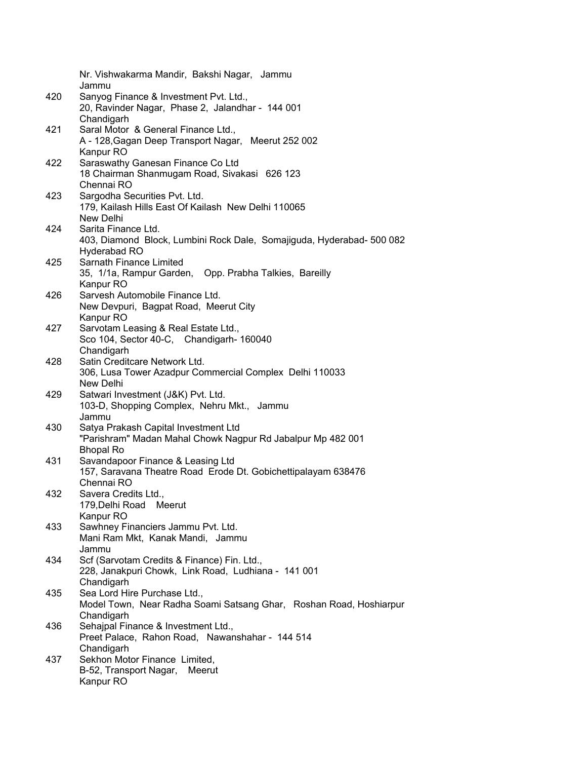|     | Nr. Vishwakarma Mandir, Bakshi Nagar, Jammu                           |
|-----|-----------------------------------------------------------------------|
|     | Jammu                                                                 |
| 420 | Sanyog Finance & Investment Pvt. Ltd.,                                |
|     | 20, Ravinder Nagar, Phase 2, Jalandhar - 144 001                      |
|     | Chandigarh                                                            |
| 421 | Saral Motor & General Finance Ltd.,                                   |
|     | A - 128, Gagan Deep Transport Nagar, Meerut 252 002                   |
| 422 | Kanpur RO<br>Saraswathy Ganesan Finance Co Ltd                        |
|     | 18 Chairman Shanmugam Road, Sivakasi 626 123                          |
|     | Chennai RO                                                            |
| 423 | Sargodha Securities Pvt. Ltd.                                         |
|     | 179, Kailash Hills East Of Kailash New Delhi 110065                   |
|     | New Delhi                                                             |
| 424 | Sarita Finance Ltd.                                                   |
|     | 403, Diamond Block, Lumbini Rock Dale, Somajiguda, Hyderabad- 500 082 |
|     | Hyderabad RO                                                          |
| 425 | Sarnath Finance Limited                                               |
|     | 35, 1/1a, Rampur Garden, Opp. Prabha Talkies, Bareilly                |
|     | Kanpur RO                                                             |
| 426 | Sarvesh Automobile Finance Ltd.                                       |
|     | New Devpuri, Bagpat Road, Meerut City                                 |
|     | Kanpur RO                                                             |
| 427 | Sarvotam Leasing & Real Estate Ltd.,                                  |
|     | Sco 104, Sector 40-C, Chandigarh- 160040                              |
| 428 | Chandigarh<br>Satin Creditcare Network Ltd.                           |
|     | 306, Lusa Tower Azadpur Commercial Complex Delhi 110033               |
|     | New Delhi                                                             |
| 429 | Satwari Investment (J&K) Pvt. Ltd.                                    |
|     | 103-D, Shopping Complex, Nehru Mkt., Jammu                            |
|     | Jammu                                                                 |
| 430 | Satya Prakash Capital Investment Ltd                                  |
|     | "Parishram" Madan Mahal Chowk Nagpur Rd Jabalpur Mp 482 001           |
|     | <b>Bhopal Ro</b>                                                      |
| 431 | Savandapoor Finance & Leasing Ltd                                     |
|     | 157, Saravana Theatre Road Erode Dt. Gobichettipalayam 638476         |
|     | Chennai RO                                                            |
| 432 | Savera Credits Ltd.,                                                  |
|     | 179, Delhi Road<br>Meerut                                             |
|     | Kanpur RO<br>Sawhney Financiers Jammu Pvt. Ltd.                       |
| 433 | Mani Ram Mkt, Kanak Mandi, Jammu                                      |
|     | Jammu                                                                 |
| 434 | Scf (Sarvotam Credits & Finance) Fin. Ltd.,                           |
|     | 228, Janakpuri Chowk, Link Road, Ludhiana - 141 001                   |
|     | Chandigarh                                                            |
| 435 | Sea Lord Hire Purchase Ltd.,                                          |
|     | Model Town, Near Radha Soami Satsang Ghar, Roshan Road, Hoshiarpur    |
|     | Chandigarh                                                            |
| 436 | Sehajpal Finance & Investment Ltd.,                                   |
|     | Preet Palace, Rahon Road, Nawanshahar - 144 514                       |
|     | Chandigarh                                                            |
| 437 | Sekhon Motor Finance Limited,                                         |
|     | B-52, Transport Nagar, Meerut                                         |
|     | Kanpur RO                                                             |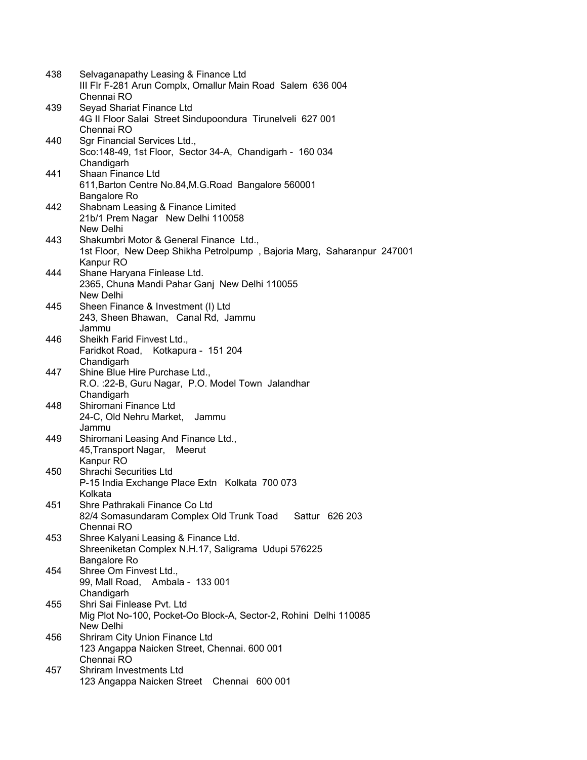| 438 | Selvaganapathy Leasing & Finance Ltd<br>III Flr F-281 Arun Complx, Omallur Main Road Salem 636 004 |
|-----|----------------------------------------------------------------------------------------------------|
|     | Chennai RO                                                                                         |
| 439 | Seyad Shariat Finance Ltd<br>4G II Floor Salai Street Sindupoondura Tirunelveli 627 001            |
|     | Chennai RO                                                                                         |
| 440 | Sgr Financial Services Ltd.,<br>Sco: 148-49, 1st Floor, Sector 34-A, Chandigarh - 160 034          |
|     | Chandigarh                                                                                         |
| 441 | Shaan Finance Ltd<br>611, Barton Centre No.84, M.G. Road Bangalore 560001<br>Bangalore Ro          |
| 442 | Shabnam Leasing & Finance Limited                                                                  |
|     | 21b/1 Prem Nagar New Delhi 110058<br>New Delhi                                                     |
| 443 | Shakumbri Motor & General Finance Ltd.,                                                            |
|     | 1st Floor, New Deep Shikha Petrolpump, Bajoria Marg, Saharanpur 247001<br>Kanpur RO                |
| 444 | Shane Haryana Finlease Ltd.                                                                        |
|     | 2365, Chuna Mandi Pahar Ganj New Delhi 110055                                                      |
|     | New Delhi                                                                                          |
| 445 | Sheen Finance & Investment (I) Ltd                                                                 |
|     | 243, Sheen Bhawan, Canal Rd, Jammu                                                                 |
|     | Jammu                                                                                              |
| 446 | Sheikh Farid Finvest Ltd.,                                                                         |
|     | Faridkot Road, Kotkapura - 151 204                                                                 |
|     | Chandigarh                                                                                         |
| 447 | Shine Blue Hire Purchase Ltd.,                                                                     |
|     | R.O. : 22-B, Guru Nagar, P.O. Model Town Jalandhar                                                 |
|     | Chandigarh                                                                                         |
| 448 | Shiromani Finance Ltd                                                                              |
|     | 24-C, Old Nehru Market, Jammu                                                                      |
|     | Jammu                                                                                              |
| 449 | Shiromani Leasing And Finance Ltd.,                                                                |
|     | 45, Transport Nagar, Meerut                                                                        |
|     | Kanpur RO                                                                                          |
| 450 | Shrachi Securities Ltd                                                                             |
|     | P-15 India Exchange Place Extn Kolkata 700 073                                                     |
|     | Kolkata                                                                                            |
| 451 | Shre Pathrakali Finance Co Ltd                                                                     |
|     | 82/4 Somasundaram Complex Old Trunk Toad Sattur 626 203                                            |
|     | Chennai RO                                                                                         |
| 453 | Shree Kalyani Leasing & Finance Ltd.                                                               |
|     | Shreeniketan Complex N.H.17, Saligrama Udupi 576225                                                |
|     | Bangalore Ro                                                                                       |
| 454 | Shree Om Finvest Ltd.,                                                                             |
|     | 99, Mall Road, Ambala - 133 001                                                                    |
|     | Chandigarh                                                                                         |
| 455 | Shri Sai Finlease Pvt. Ltd                                                                         |
|     | Mig Plot No-100, Pocket-Oo Block-A, Sector-2, Rohini Delhi 110085                                  |
|     | New Delhi                                                                                          |
| 456 | Shriram City Union Finance Ltd                                                                     |
|     | 123 Angappa Naicken Street, Chennai. 600 001                                                       |
|     | Chennai RO                                                                                         |
| 457 | Shriram Investments Ltd                                                                            |
|     | 123 Angappa Naicken Street Chennai 600 001                                                         |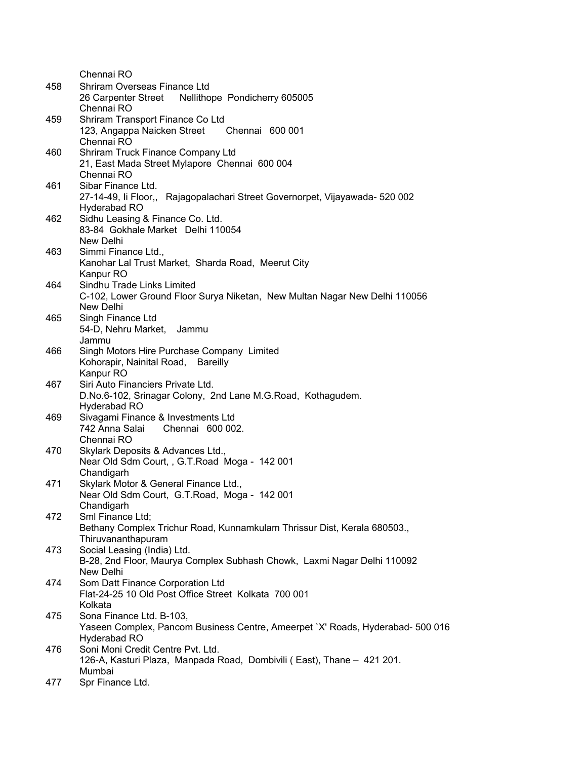|     | Chennai RO                                                                                                                 |
|-----|----------------------------------------------------------------------------------------------------------------------------|
| 458 | Shriram Overseas Finance Ltd<br>Nellithope Pondicherry 605005<br>26 Carpenter Street<br>Chennai RO                         |
| 459 | Shriram Transport Finance Co Ltd<br>123, Angappa Naicken Street<br>Chennai 600 001<br>Chennai RO                           |
| 460 | Shriram Truck Finance Company Ltd<br>21, East Mada Street Mylapore Chennai 600 004<br>Chennai RO                           |
| 461 | Sibar Finance Ltd.<br>27-14-49, li Floor,, Rajagopalachari Street Governorpet, Vijayawada-520 002<br>Hyderabad RO          |
| 462 | Sidhu Leasing & Finance Co. Ltd.<br>83-84 Gokhale Market Delhi 110054<br>New Delhi                                         |
| 463 | Simmi Finance Ltd.,<br>Kanohar Lal Trust Market, Sharda Road, Meerut City<br>Kanpur RO                                     |
| 464 | Sindhu Trade Links Limited<br>C-102, Lower Ground Floor Surya Niketan, New Multan Nagar New Delhi 110056<br>New Delhi      |
| 465 | Singh Finance Ltd<br>54-D, Nehru Market, Jammu<br>Jammu                                                                    |
| 466 | Singh Motors Hire Purchase Company Limited<br>Kohorapir, Nainital Road, Bareilly<br>Kanpur RO                              |
| 467 | Siri Auto Financiers Private Ltd.<br>D.No.6-102, Srinagar Colony, 2nd Lane M.G.Road, Kothagudem.<br>Hyderabad RO           |
| 469 | Sivagami Finance & Investments Ltd<br>742 Anna Salai<br>Chennai 600 002.<br>Chennai RO                                     |
| 470 | Skylark Deposits & Advances Ltd.,<br>Near Old Sdm Court, , G.T.Road Moga - 142 001<br>Chandigarh                           |
| 471 | Skylark Motor & General Finance Ltd.,<br>Near Old Sdm Court, G.T.Road, Moga - 142 001<br>Chandigarh                        |
| 472 | Sml Finance Ltd;<br>Bethany Complex Trichur Road, Kunnamkulam Thrissur Dist, Kerala 680503.,<br>Thiruvananthapuram         |
| 473 | Social Leasing (India) Ltd.<br>B-28, 2nd Floor, Maurya Complex Subhash Chowk, Laxmi Nagar Delhi 110092<br>New Delhi        |
| 474 | Som Datt Finance Corporation Ltd<br>Flat-24-25 10 Old Post Office Street Kolkata 700 001<br>Kolkata                        |
| 475 | Sona Finance Ltd. B-103,<br>Yaseen Complex, Pancom Business Centre, Ameerpet `X' Roads, Hyderabad- 500 016<br>Hyderabad RO |
| 476 | Soni Moni Credit Centre Pvt. Ltd.<br>126-A, Kasturi Plaza, Manpada Road, Dombivili (East), Thane - 421 201.<br>Mumbai      |
| 477 | Spr Finance Ltd.                                                                                                           |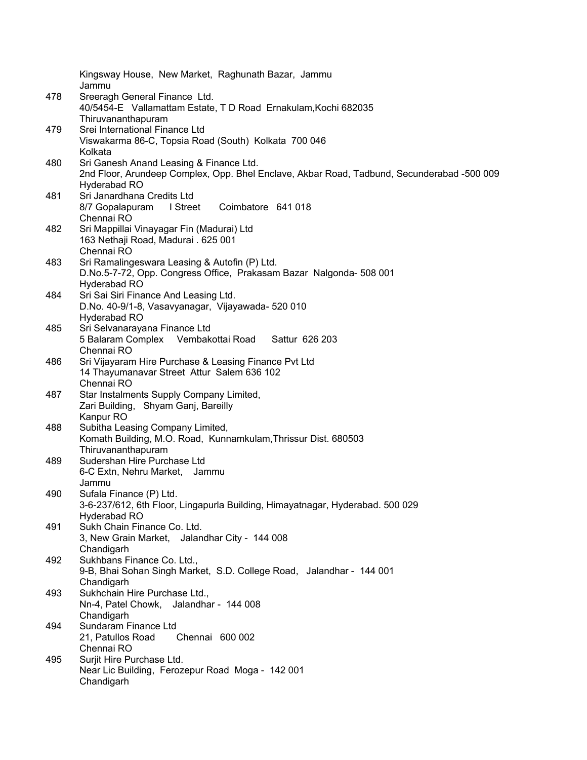|     | Kingsway House, New Market, Raghunath Bazar, Jammu<br>Jammu                                |
|-----|--------------------------------------------------------------------------------------------|
| 478 | Sreeragh General Finance Ltd.                                                              |
|     | 40/5454-E Vallamattam Estate, TD Road Ernakulam, Kochi 682035                              |
|     | Thiruvananthapuram                                                                         |
| 479 | Srei International Finance Ltd                                                             |
|     | Viswakarma 86-C, Topsia Road (South) Kolkata 700 046                                       |
|     | Kolkata                                                                                    |
| 480 | Sri Ganesh Anand Leasing & Finance Ltd.                                                    |
|     | 2nd Floor, Arundeep Complex, Opp. Bhel Enclave, Akbar Road, Tadbund, Secunderabad -500 009 |
|     | Hyderabad RO                                                                               |
| 481 | Sri Janardhana Credits Ltd                                                                 |
|     | 8/7 Gopalapuram<br>I Street<br>Coimbatore 641 018                                          |
|     | Chennai RO                                                                                 |
| 482 | Sri Mappillai Vinayagar Fin (Madurai) Ltd                                                  |
|     | 163 Nethaji Road, Madurai . 625 001                                                        |
|     | Chennai RO                                                                                 |
| 483 | Sri Ramalingeswara Leasing & Autofin (P) Ltd.                                              |
|     | D.No.5-7-72, Opp. Congress Office, Prakasam Bazar Nalgonda- 508 001                        |
|     | Hyderabad RO                                                                               |
| 484 | Sri Sai Siri Finance And Leasing Ltd.                                                      |
|     | D.No. 40-9/1-8, Vasavyanagar, Vijayawada- 520 010<br>Hyderabad RO                          |
| 485 | Sri Selvanarayana Finance Ltd                                                              |
|     | 5 Balaram Complex Vembakottai Road<br>Sattur 626 203                                       |
|     | Chennai RO                                                                                 |
| 486 | Sri Vijayaram Hire Purchase & Leasing Finance Pvt Ltd                                      |
|     | 14 Thayumanavar Street Attur Salem 636 102                                                 |
|     | Chennai RO                                                                                 |
| 487 | Star Instalments Supply Company Limited,                                                   |
|     | Zari Building, Shyam Ganj, Bareilly                                                        |
|     | Kanpur RO                                                                                  |
| 488 | Subitha Leasing Company Limited,                                                           |
|     | Komath Building, M.O. Road, Kunnamkulam, Thrissur Dist. 680503                             |
|     | Thiruvananthapuram                                                                         |
| 489 | Sudershan Hire Purchase Ltd<br>Jammu                                                       |
|     | 6-C Extn, Nehru Market,<br>Jammu                                                           |
| 490 | Sufala Finance (P) Ltd.                                                                    |
|     | 3-6-237/612, 6th Floor, Lingapurla Building, Himayatnagar, Hyderabad. 500 029              |
|     | Hyderabad RO                                                                               |
| 491 | Sukh Chain Finance Co. Ltd.                                                                |
|     | 3, New Grain Market, Jalandhar City - 144 008                                              |
|     | Chandigarh                                                                                 |
| 492 | Sukhbans Finance Co. Ltd.,                                                                 |
|     | 9-B, Bhai Sohan Singh Market, S.D. College Road, Jalandhar - 144 001                       |
|     | Chandigarh                                                                                 |
| 493 | Sukhchain Hire Purchase Ltd.,                                                              |
|     | Nn-4, Patel Chowk, Jalandhar - 144 008                                                     |
|     | Chandigarh<br>Sundaram Finance Ltd                                                         |
| 494 | 21, Patullos Road<br>Chennai 600 002                                                       |
|     | Chennai RO                                                                                 |
| 495 | Surjit Hire Purchase Ltd.                                                                  |
|     | Near Lic Building, Ferozepur Road Moga - 142 001                                           |
|     | Chandigarh                                                                                 |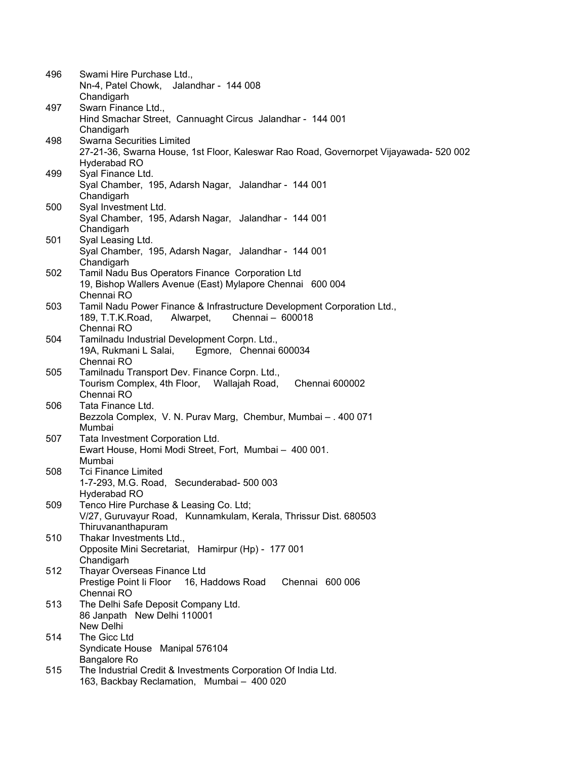| 496 | Swami Hire Purchase Ltd.,                                                              |
|-----|----------------------------------------------------------------------------------------|
|     | Nn-4, Patel Chowk, Jalandhar - 144 008                                                 |
| 497 | Chandigarh<br>Swarn Finance Ltd.,                                                      |
|     | Hind Smachar Street, Cannuaght Circus Jalandhar - 144 001                              |
|     | Chandigarh                                                                             |
| 498 | <b>Swarna Securities Limited</b>                                                       |
|     | 27-21-36, Swarna House, 1st Floor, Kaleswar Rao Road, Governorpet Vijayawada- 520 002  |
|     | Hyderabad RO                                                                           |
| 499 | Syal Finance Ltd.                                                                      |
|     | Syal Chamber, 195, Adarsh Nagar, Jalandhar - 144 001                                   |
|     | Chandigarh                                                                             |
| 500 | Syal Investment Ltd.                                                                   |
|     | Syal Chamber, 195, Adarsh Nagar, Jalandhar - 144 001<br>Chandigarh                     |
| 501 | Syal Leasing Ltd.                                                                      |
|     | Syal Chamber, 195, Adarsh Nagar, Jalandhar - 144 001                                   |
|     | Chandigarh                                                                             |
| 502 | Tamil Nadu Bus Operators Finance Corporation Ltd                                       |
|     | 19, Bishop Wallers Avenue (East) Mylapore Chennai 600 004                              |
|     | Chennai RO                                                                             |
| 503 | Tamil Nadu Power Finance & Infrastructure Development Corporation Ltd.,                |
|     | Chennai - 600018<br>Alwarpet,<br>189, T.T.K.Road,<br>Chennai RO                        |
| 504 | Tamilnadu Industrial Development Corpn. Ltd.,                                          |
|     | Egmore, Chennai 600034<br>19A, Rukmani L Salai,                                        |
|     | Chennai RO                                                                             |
| 505 | Tamilnadu Transport Dev. Finance Corpn. Ltd.,                                          |
|     | Tourism Complex, 4th Floor, Wallajah Road,<br>Chennai 600002                           |
|     | Chennai RO                                                                             |
| 506 | Tata Finance Ltd.                                                                      |
|     | Bezzola Complex, V. N. Purav Marg, Chembur, Mumbai - . 400 071<br>Mumbai               |
| 507 | Tata Investment Corporation Ltd.                                                       |
|     | Ewart House, Homi Modi Street, Fort, Mumbai - 400 001.                                 |
|     | Mumbai                                                                                 |
| 508 | <b>Tci Finance Limited</b>                                                             |
|     | 1-7-293, M.G. Road, Secunderabad- 500 003                                              |
|     | Hyderabad RO                                                                           |
| 509 | Tenco Hire Purchase & Leasing Co. Ltd;                                                 |
|     | V/27, Guruvayur Road, Kunnamkulam, Kerala, Thrissur Dist. 680503<br>Thiruvananthapuram |
| 510 | Thakar Investments Ltd.,                                                               |
|     | Opposite Mini Secretariat, Hamirpur (Hp) - 177 001                                     |
|     | Chandigarh                                                                             |
| 512 | Thayar Overseas Finance Ltd                                                            |
|     | Prestige Point li Floor<br>16, Haddows Road<br>Chennai 600 006                         |
|     | Chennai RO                                                                             |
| 513 | The Delhi Safe Deposit Company Ltd.                                                    |
|     | 86 Janpath New Delhi 110001<br>New Delhi                                               |
| 514 | The Gicc Ltd                                                                           |
|     | Syndicate House Manipal 576104                                                         |
|     | Bangalore Ro                                                                           |
| 515 | The Industrial Credit & Investments Corporation Of India Ltd.                          |
|     | 163, Backbay Reclamation, Mumbai - 400 020                                             |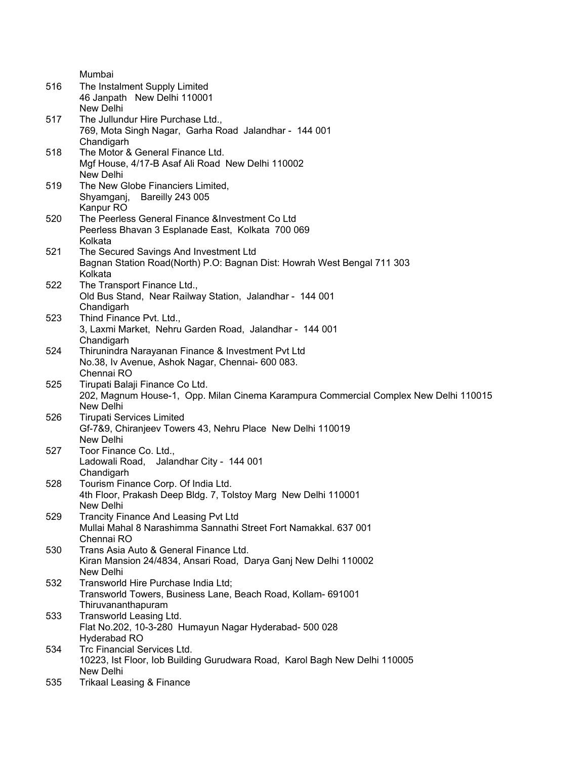|     | Mumbai                                                                               |
|-----|--------------------------------------------------------------------------------------|
| 516 | The Instalment Supply Limited                                                        |
|     | 46 Janpath New Delhi 110001                                                          |
|     | New Delhi                                                                            |
| 517 | The Jullundur Hire Purchase Ltd.,                                                    |
|     | 769, Mota Singh Nagar, Garha Road Jalandhar - 144 001                                |
|     | Chandigarh                                                                           |
| 518 | The Motor & General Finance Ltd.                                                     |
|     | Mgf House, 4/17-B Asaf Ali Road New Delhi 110002                                     |
|     | New Delhi                                                                            |
| 519 | The New Globe Financiers Limited,                                                    |
|     | Shyamganj, Bareilly 243 005                                                          |
|     | Kanpur RO                                                                            |
| 520 | The Peerless General Finance & Investment Co Ltd                                     |
|     | Peerless Bhavan 3 Esplanade East, Kolkata 700 069                                    |
|     | Kolkata                                                                              |
| 521 | The Secured Savings And Investment Ltd                                               |
|     | Bagnan Station Road(North) P.O: Bagnan Dist: Howrah West Bengal 711 303              |
|     | Kolkata                                                                              |
| 522 | The Transport Finance Ltd.,                                                          |
|     | Old Bus Stand, Near Railway Station, Jalandhar - 144 001                             |
|     | Chandigarh                                                                           |
| 523 | Thind Finance Pvt. Ltd.,                                                             |
|     | 3, Laxmi Market, Nehru Garden Road, Jalandhar - 144 001                              |
|     | Chandigarh                                                                           |
| 524 | Thirunindra Narayanan Finance & Investment Pvt Ltd                                   |
|     | No.38, Iv Avenue, Ashok Nagar, Chennai-600 083.                                      |
|     | Chennai RO                                                                           |
| 525 | Tirupati Balaji Finance Co Ltd.                                                      |
|     | 202, Magnum House-1, Opp. Milan Cinema Karampura Commercial Complex New Delhi 110015 |
|     | New Delhi                                                                            |
| 526 | <b>Tirupati Services Limited</b>                                                     |
|     | Gf-7&9, Chiranjeev Towers 43, Nehru Place New Delhi 110019                           |
|     | New Delhi                                                                            |
| 527 | Toor Finance Co. Ltd.,                                                               |
|     | Ladowali Road, Jalandhar City - 144 001                                              |
|     | Chandigarh                                                                           |
| 528 | Tourism Finance Corp. Of India Ltd.                                                  |
|     | 4th Floor, Prakash Deep Bldg. 7, Tolstoy Marg New Delhi 110001                       |
|     | New Delhi                                                                            |
| 529 | <b>Trancity Finance And Leasing Pvt Ltd</b>                                          |
|     | Mullai Mahal 8 Narashimma Sannathi Street Fort Namakkal. 637 001                     |
|     | Chennai RO                                                                           |
| 530 | Trans Asia Auto & General Finance Ltd.                                               |
|     | Kiran Mansion 24/4834, Ansari Road, Darya Ganj New Delhi 110002                      |
|     | New Delhi                                                                            |
| 532 | Transworld Hire Purchase India Ltd;                                                  |
|     | Transworld Towers, Business Lane, Beach Road, Kollam- 691001                         |
|     | Thiruvananthapuram                                                                   |
| 533 | Transworld Leasing Ltd.                                                              |
|     | Flat No.202, 10-3-280 Humayun Nagar Hyderabad- 500 028                               |
|     | Hyderabad RO                                                                         |
| 534 | Trc Financial Services Ltd.                                                          |
|     | 10223, Ist Floor, Iob Building Gurudwara Road, Karol Bagh New Delhi 110005           |
|     | New Delhi                                                                            |
| 535 | <b>Trikaal Leasing &amp; Finance</b>                                                 |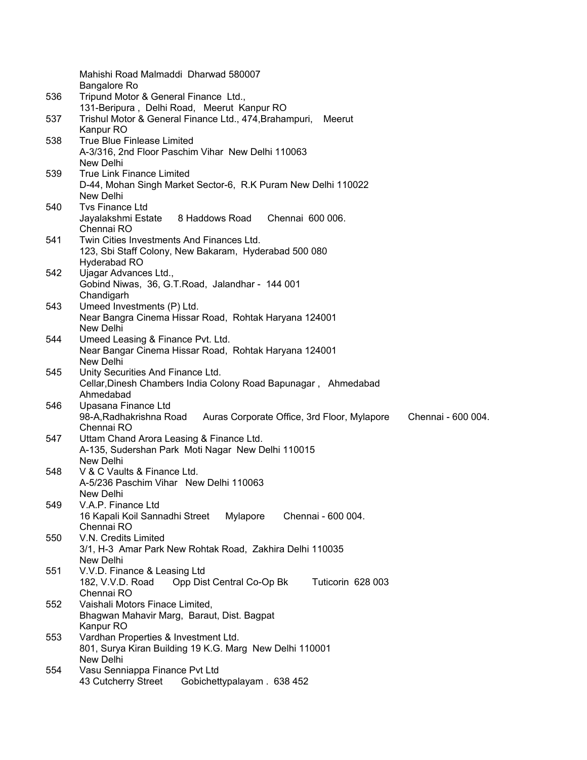|     | Mahishi Road Malmaddi Dharwad 580007                                                         |
|-----|----------------------------------------------------------------------------------------------|
|     | Bangalore Ro                                                                                 |
| 536 | Tripund Motor & General Finance Ltd.,                                                        |
|     | 131-Beripura, Delhi Road, Meerut Kanpur RO                                                   |
| 537 | Trishul Motor & General Finance Ltd., 474, Brahampuri,<br>Meerut                             |
|     | Kanpur RO                                                                                    |
| 538 | True Blue Finlease Limited                                                                   |
|     | A-3/316, 2nd Floor Paschim Vihar New Delhi 110063                                            |
|     | New Delhi                                                                                    |
| 539 | <b>True Link Finance Limited</b>                                                             |
|     | D-44, Mohan Singh Market Sector-6, R.K Puram New Delhi 110022                                |
|     | New Delhi                                                                                    |
| 540 | <b>Tvs Finance Ltd</b><br>8 Haddows Road<br>Chennai 600 006.                                 |
|     | Jayalakshmi Estate<br>Chennai RO                                                             |
| 541 | Twin Cities Investments And Finances Ltd.                                                    |
|     | 123, Sbi Staff Colony, New Bakaram, Hyderabad 500 080                                        |
|     | Hyderabad RO                                                                                 |
| 542 | Ujagar Advances Ltd.,                                                                        |
|     | Gobind Niwas, 36, G.T.Road, Jalandhar - 144 001                                              |
|     | Chandigarh                                                                                   |
| 543 | Umeed Investments (P) Ltd.                                                                   |
|     | Near Bangra Cinema Hissar Road, Rohtak Haryana 124001                                        |
|     | New Delhi                                                                                    |
| 544 | Umeed Leasing & Finance Pvt. Ltd.                                                            |
|     | Near Bangar Cinema Hissar Road, Rohtak Haryana 124001                                        |
|     | New Delhi                                                                                    |
| 545 | Unity Securities And Finance Ltd.                                                            |
|     | Cellar, Dinesh Chambers India Colony Road Bapunagar, Ahmedabad                               |
|     | Ahmedabad                                                                                    |
| 546 | Upasana Finance Ltd                                                                          |
|     | Chennai - 600 004.<br>98-A, Radhakrishna Road<br>Auras Corporate Office, 3rd Floor, Mylapore |
|     | Chennai RO                                                                                   |
| 547 | Uttam Chand Arora Leasing & Finance Ltd.                                                     |
|     | A-135, Sudershan Park Moti Nagar New Delhi 110015                                            |
|     | New Delhi                                                                                    |
| 548 | V & C Vaults & Finance Ltd.                                                                  |
|     | A-5/236 Paschim Vihar New Delhi 110063                                                       |
|     |                                                                                              |
|     | New Delhi                                                                                    |
| 549 | V.A.P. Finance Ltd                                                                           |
|     | 16 Kapali Koil Sannadhi Street<br>Mylapore<br>Chennai - 600 004.                             |
|     | Chennai RO                                                                                   |
| 550 | V.N. Credits Limited                                                                         |
|     | 3/1, H-3 Amar Park New Rohtak Road, Zakhira Delhi 110035                                     |
|     | New Delhi                                                                                    |
| 551 | V.V.D. Finance & Leasing Ltd                                                                 |
|     | Opp Dist Central Co-Op Bk<br>Tuticorin 628 003<br>182, V.V.D. Road<br>Chennai RO             |
| 552 | Vaishali Motors Finace Limited,                                                              |
|     | Bhagwan Mahavir Marg, Baraut, Dist. Bagpat                                                   |
|     | Kanpur RO                                                                                    |
| 553 | Vardhan Properties & Investment Ltd.                                                         |
|     | 801, Surya Kiran Building 19 K.G. Marg New Delhi 110001                                      |
|     | New Delhi                                                                                    |
| 554 | Vasu Senniappa Finance Pvt Ltd<br>43 Cutcherry Street<br>Gobichettypalayam . 638 452         |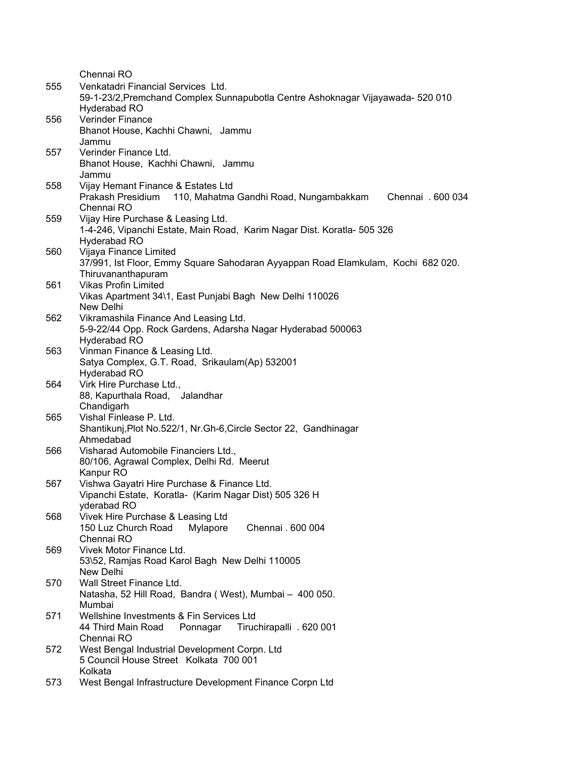|     | Chennai RO                                                                       |
|-----|----------------------------------------------------------------------------------|
| 555 | Venkatadri Financial Services Ltd.                                               |
|     | 59-1-23/2, Premchand Complex Sunnapubotla Centre Ashoknagar Vijayawada- 520 010  |
|     | Hyderabad RO                                                                     |
| 556 | <b>Verinder Finance</b>                                                          |
|     | Bhanot House, Kachhi Chawni, Jammu                                               |
|     | Jammu                                                                            |
| 557 | Verinder Finance Ltd.                                                            |
|     | Bhanot House, Kachhi Chawni, Jammu                                               |
|     | Jammu                                                                            |
| 558 | Vijay Hemant Finance & Estates Ltd                                               |
|     | 110, Mahatma Gandhi Road, Nungambakkam<br>Prakash Presidium<br>Chennai . 600 034 |
|     | Chennai RO                                                                       |
|     |                                                                                  |
| 559 | Vijay Hire Purchase & Leasing Ltd.                                               |
|     | 1-4-246, Vipanchi Estate, Main Road, Karim Nagar Dist. Koratla- 505 326          |
|     | Hyderabad RO                                                                     |
| 560 | Vijaya Finance Limited                                                           |
|     | 37/991, Ist Floor, Emmy Square Sahodaran Ayyappan Road Elamkulam, Kochi 682 020. |
|     | Thiruvananthapuram                                                               |
| 561 | <b>Vikas Profin Limited</b>                                                      |
|     | Vikas Apartment 34\1, East Punjabi Bagh New Delhi 110026                         |
|     | New Delhi                                                                        |
| 562 | Vikramashila Finance And Leasing Ltd.                                            |
|     | 5-9-22/44 Opp. Rock Gardens, Adarsha Nagar Hyderabad 500063                      |
|     | Hyderabad RO                                                                     |
| 563 | Vinman Finance & Leasing Ltd.                                                    |
|     | Satya Complex, G.T. Road, Srikaulam(Ap) 532001                                   |
|     | Hyderabad RO                                                                     |
| 564 | Virk Hire Purchase Ltd.,                                                         |
|     | 88, Kapurthala Road, Jalandhar                                                   |
|     | Chandigarh                                                                       |
| 565 | Vishal Finlease P. Ltd.                                                          |
|     | Shantikunj, Plot No.522/1, Nr. Gh-6, Circle Sector 22, Gandhinagar               |
|     | Ahmedabad                                                                        |
| 566 | Visharad Automobile Financiers Ltd.,                                             |
|     | 80/106, Agrawal Complex, Delhi Rd. Meerut                                        |
|     | Kanpur RO                                                                        |
| 567 | Vishwa Gayatri Hire Purchase & Finance Ltd.                                      |
|     | Vipanchi Estate, Koratla- (Karim Nagar Dist) 505 326 H                           |
|     | yderabad RO                                                                      |
| 568 | Vivek Hire Purchase & Leasing Ltd                                                |
|     | 150 Luz Church Road<br>Mylapore<br>Chennai . 600 004                             |
|     | Chennai RO                                                                       |
| 569 | Vivek Motor Finance Ltd.                                                         |
|     | 53\52, Ramjas Road Karol Bagh New Delhi 110005                                   |
|     | New Delhi                                                                        |
| 570 | Wall Street Finance Ltd.                                                         |
|     | Natasha, 52 Hill Road, Bandra (West), Mumbai - 400 050.                          |
|     | Mumbai                                                                           |
| 571 | Wellshine Investments & Fin Services Ltd                                         |
|     | 44 Third Main Road<br>Tiruchirapalli . 620 001<br>Ponnagar                       |
|     | Chennai RO                                                                       |
| 572 | West Bengal Industrial Development Corpn. Ltd                                    |
|     | 5 Council House Street Kolkata 700 001                                           |
|     | Kolkata                                                                          |
| 573 | West Bengal Infrastructure Development Finance Corpn Ltd                         |